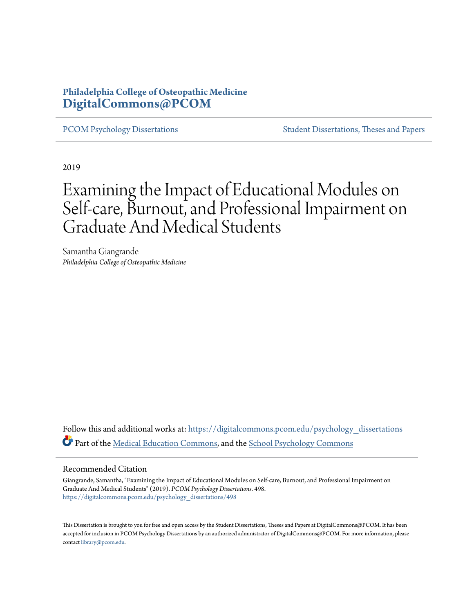# **Philadelphia College of Osteopathic Medicine [DigitalCommons@PCOM](https://digitalcommons.pcom.edu?utm_source=digitalcommons.pcom.edu%2Fpsychology_dissertations%2F498&utm_medium=PDF&utm_campaign=PDFCoverPages)**

[PCOM Psychology Dissertations](https://digitalcommons.pcom.edu/psychology_dissertations?utm_source=digitalcommons.pcom.edu%2Fpsychology_dissertations%2F498&utm_medium=PDF&utm_campaign=PDFCoverPages) [Student Dissertations, Theses and Papers](https://digitalcommons.pcom.edu/etds?utm_source=digitalcommons.pcom.edu%2Fpsychology_dissertations%2F498&utm_medium=PDF&utm_campaign=PDFCoverPages)

2019

# Examining the Impact of Educational Modules on Self-care, Burnout, and Professional Impairment on Graduate And Medical Students

Samantha Giangrande *Philadelphia College of Osteopathic Medicine*

Follow this and additional works at: [https://digitalcommons.pcom.edu/psychology\\_dissertations](https://digitalcommons.pcom.edu/psychology_dissertations?utm_source=digitalcommons.pcom.edu%2Fpsychology_dissertations%2F498&utm_medium=PDF&utm_campaign=PDFCoverPages) Part of the [Medical Education Commons,](http://network.bepress.com/hgg/discipline/1125?utm_source=digitalcommons.pcom.edu%2Fpsychology_dissertations%2F498&utm_medium=PDF&utm_campaign=PDFCoverPages) and the [School Psychology Commons](http://network.bepress.com/hgg/discipline/1072?utm_source=digitalcommons.pcom.edu%2Fpsychology_dissertations%2F498&utm_medium=PDF&utm_campaign=PDFCoverPages)

#### Recommended Citation

Giangrande, Samantha, "Examining the Impact of Educational Modules on Self-care, Burnout, and Professional Impairment on Graduate And Medical Students" (2019). *PCOM Psychology Dissertations*. 498. [https://digitalcommons.pcom.edu/psychology\\_dissertations/498](https://digitalcommons.pcom.edu/psychology_dissertations/498?utm_source=digitalcommons.pcom.edu%2Fpsychology_dissertations%2F498&utm_medium=PDF&utm_campaign=PDFCoverPages)

This Dissertation is brought to you for free and open access by the Student Dissertations, Theses and Papers at DigitalCommons@PCOM. It has been accepted for inclusion in PCOM Psychology Dissertations by an authorized administrator of DigitalCommons@PCOM. For more information, please contact [library@pcom.edu.](mailto:library@pcom.edu)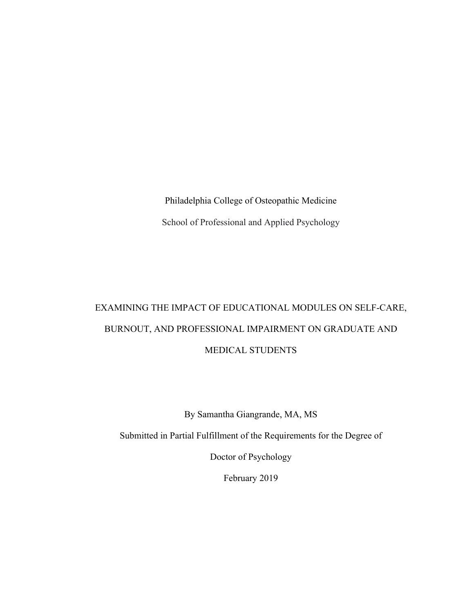Philadelphia College of Osteopathic Medicine School of Professional and Applied Psychology

# EXAMINING THE IMPACT OF EDUCATIONAL MODULES ON SELF-CARE, BURNOUT, AND PROFESSIONAL IMPAIRMENT ON GRADUATE AND MEDICAL STUDENTS

By Samantha Giangrande, MA, MS

Submitted in Partial Fulfillment of the Requirements for the Degree of

Doctor of Psychology

February 2019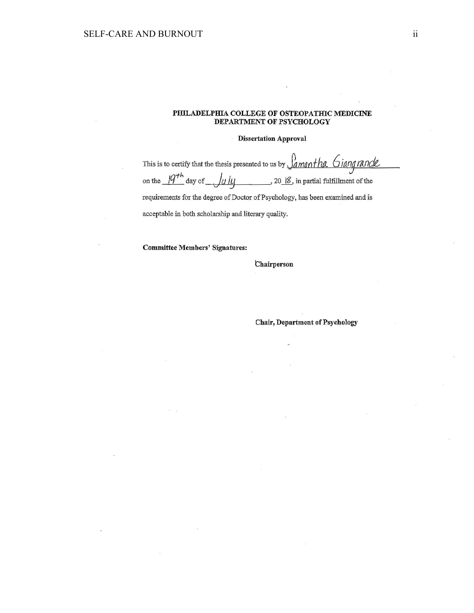#### PHILADELPHIA COLLEGE OF OSTEOPATHIC MEDICINE DEPARTMENT OF PSYCHOLOGY

#### Dissertation Approval

This is to certify that the thesis presented to us by  $\int_{\mathcal{A}}$  *man tha*  $\int$  *iang rande* on the  $\frac{q^{th}}{q}$  day of  $\int u \, dy$  , 20<u>jg</u>, in partial fulfillment of the *\.T* <sup>J</sup> requirements for the degree of Doctor of Psychology, has been examined and is acceptable in both scholarship and literary quality.

Committee Members' Signatures:

#### **Chairperson**

Chair, Department of Psychology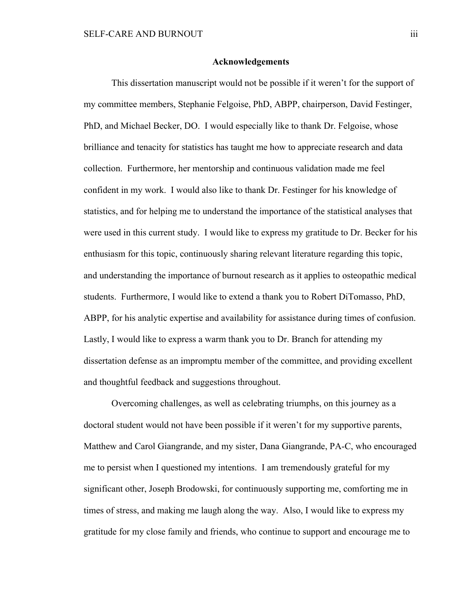#### **Acknowledgements**

This dissertation manuscript would not be possible if it weren't for the support of my committee members, Stephanie Felgoise, PhD, ABPP, chairperson, David Festinger, PhD, and Michael Becker, DO. I would especially like to thank Dr. Felgoise, whose brilliance and tenacity for statistics has taught me how to appreciate research and data collection. Furthermore, her mentorship and continuous validation made me feel confident in my work. I would also like to thank Dr. Festinger for his knowledge of statistics, and for helping me to understand the importance of the statistical analyses that were used in this current study. I would like to express my gratitude to Dr. Becker for his enthusiasm for this topic, continuously sharing relevant literature regarding this topic, and understanding the importance of burnout research as it applies to osteopathic medical students. Furthermore, I would like to extend a thank you to Robert DiTomasso, PhD, ABPP, for his analytic expertise and availability for assistance during times of confusion. Lastly, I would like to express a warm thank you to Dr. Branch for attending my dissertation defense as an impromptu member of the committee, and providing excellent and thoughtful feedback and suggestions throughout.

Overcoming challenges, as well as celebrating triumphs, on this journey as a doctoral student would not have been possible if it weren't for my supportive parents, Matthew and Carol Giangrande, and my sister, Dana Giangrande, PA-C, who encouraged me to persist when I questioned my intentions. I am tremendously grateful for my significant other, Joseph Brodowski, for continuously supporting me, comforting me in times of stress, and making me laugh along the way. Also, I would like to express my gratitude for my close family and friends, who continue to support and encourage me to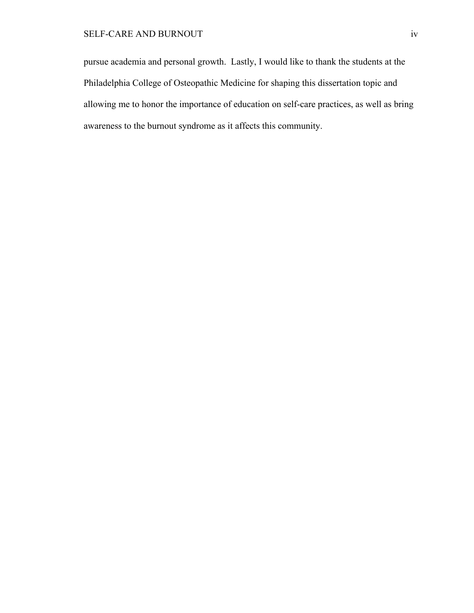# SELF-CARE AND BURNOUT iv

pursue academia and personal growth. Lastly, I would like to thank the students at the Philadelphia College of Osteopathic Medicine for shaping this dissertation topic and allowing me to honor the importance of education on self-care practices, as well as bring awareness to the burnout syndrome as it affects this community.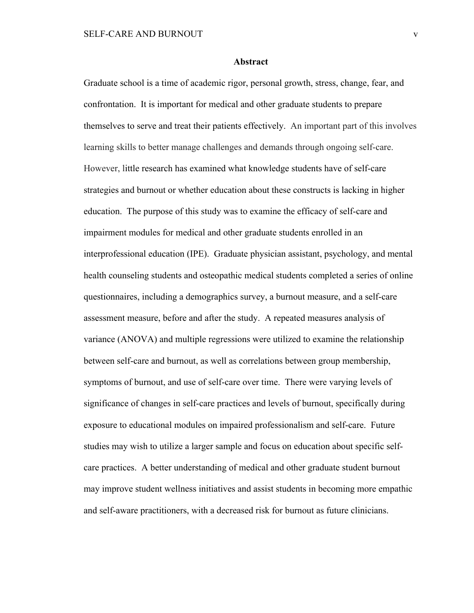#### **Abstract**

Graduate school is a time of academic rigor, personal growth, stress, change, fear, and confrontation. It is important for medical and other graduate students to prepare themselves to serve and treat their patients effectively. An important part of this involves learning skills to better manage challenges and demands through ongoing self-care. However, little research has examined what knowledge students have of self-care strategies and burnout or whether education about these constructs is lacking in higher education. The purpose of this study was to examine the efficacy of self-care and impairment modules for medical and other graduate students enrolled in an interprofessional education (IPE). Graduate physician assistant, psychology, and mental health counseling students and osteopathic medical students completed a series of online questionnaires, including a demographics survey, a burnout measure, and a self-care assessment measure, before and after the study. A repeated measures analysis of variance (ANOVA) and multiple regressions were utilized to examine the relationship between self-care and burnout, as well as correlations between group membership, symptoms of burnout, and use of self-care over time. There were varying levels of significance of changes in self-care practices and levels of burnout, specifically during exposure to educational modules on impaired professionalism and self-care. Future studies may wish to utilize a larger sample and focus on education about specific selfcare practices. A better understanding of medical and other graduate student burnout may improve student wellness initiatives and assist students in becoming more empathic and self-aware practitioners, with a decreased risk for burnout as future clinicians.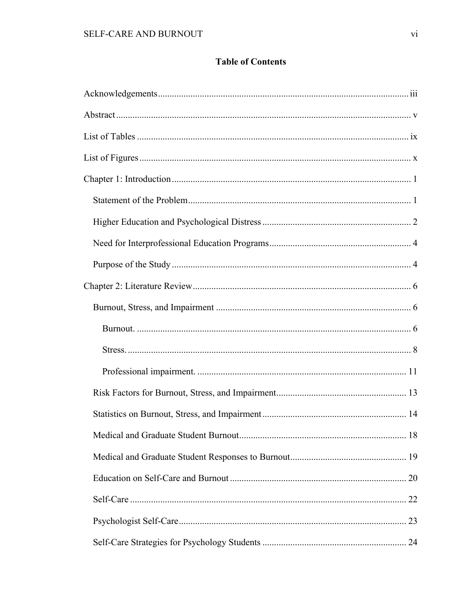# **Table of Contents**

| 18 |
|----|
|    |
|    |
|    |
|    |
|    |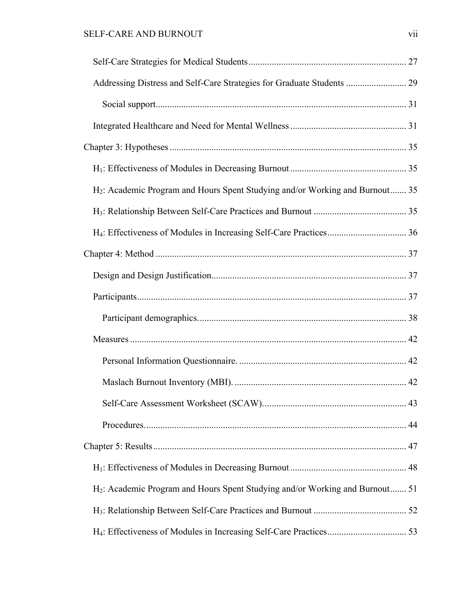| Addressing Distress and Self-Care Strategies for Graduate Students  29                   |  |
|------------------------------------------------------------------------------------------|--|
|                                                                                          |  |
|                                                                                          |  |
|                                                                                          |  |
|                                                                                          |  |
| H <sub>2</sub> : Academic Program and Hours Spent Studying and/or Working and Burnout 35 |  |
|                                                                                          |  |
|                                                                                          |  |
|                                                                                          |  |
|                                                                                          |  |
|                                                                                          |  |
|                                                                                          |  |
|                                                                                          |  |
|                                                                                          |  |
|                                                                                          |  |
|                                                                                          |  |
|                                                                                          |  |
|                                                                                          |  |
|                                                                                          |  |
| H <sub>2</sub> : Academic Program and Hours Spent Studying and/or Working and Burnout 51 |  |
|                                                                                          |  |
|                                                                                          |  |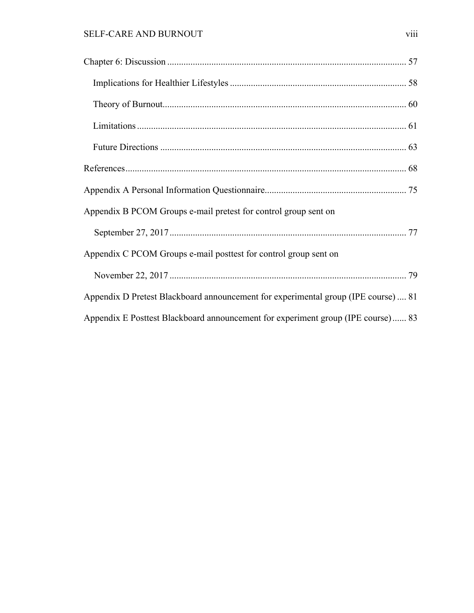# SELF-CARE AND BURNOUT viii

| Appendix B PCOM Groups e-mail pretest for control group sent on                    |  |
|------------------------------------------------------------------------------------|--|
|                                                                                    |  |
| Appendix C PCOM Groups e-mail posttest for control group sent on                   |  |
|                                                                                    |  |
| Appendix D Pretest Blackboard announcement for experimental group (IPE course)  81 |  |
| Appendix E Posttest Blackboard announcement for experiment group (IPE course) 83   |  |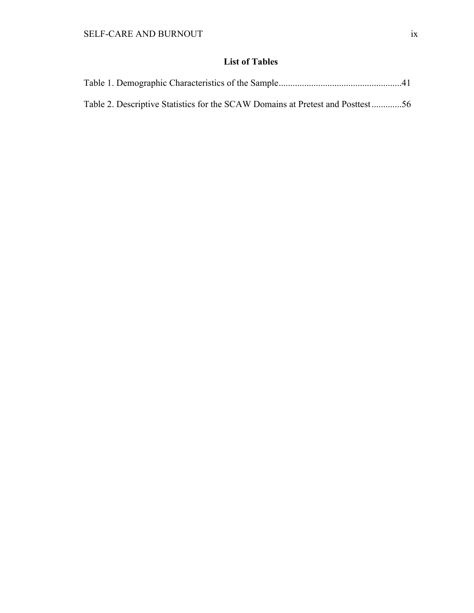# **List of Tables**

| Table 2. Descriptive Statistics for the SCAW Domains at Pretest and Posttest56 |  |
|--------------------------------------------------------------------------------|--|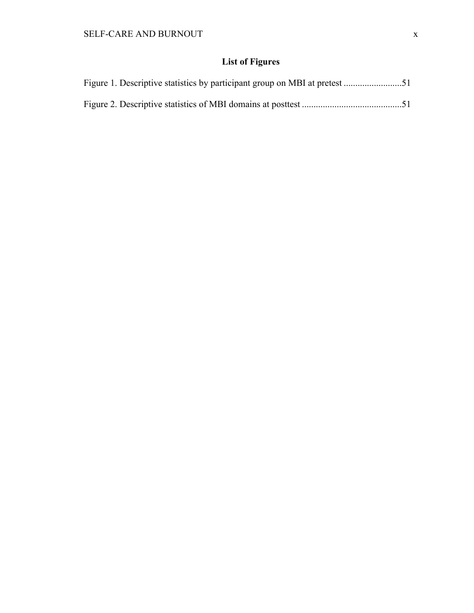# **List of Figures**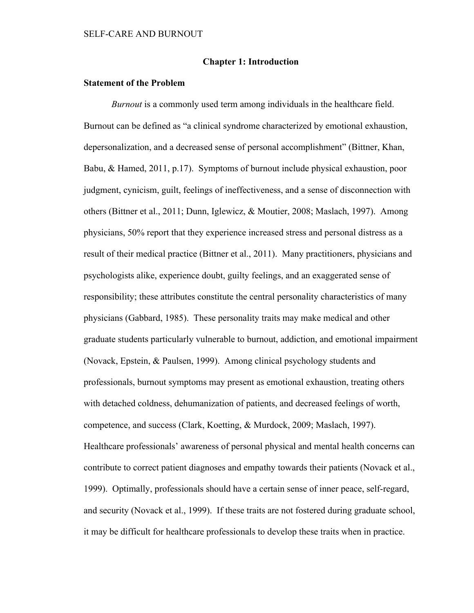## **Chapter 1: Introduction**

## **Statement of the Problem**

*Burnout* is a commonly used term among individuals in the healthcare field. Burnout can be defined as "a clinical syndrome characterized by emotional exhaustion, depersonalization, and a decreased sense of personal accomplishment" (Bittner, Khan, Babu, & Hamed, 2011, p.17). Symptoms of burnout include physical exhaustion, poor judgment, cynicism, guilt, feelings of ineffectiveness, and a sense of disconnection with others (Bittner et al., 2011; Dunn, Iglewicz, & Moutier, 2008; Maslach, 1997). Among physicians, 50% report that they experience increased stress and personal distress as a result of their medical practice (Bittner et al., 2011). Many practitioners, physicians and psychologists alike, experience doubt, guilty feelings, and an exaggerated sense of responsibility; these attributes constitute the central personality characteristics of many physicians (Gabbard, 1985). These personality traits may make medical and other graduate students particularly vulnerable to burnout, addiction, and emotional impairment (Novack, Epstein, & Paulsen, 1999). Among clinical psychology students and professionals, burnout symptoms may present as emotional exhaustion, treating others with detached coldness, dehumanization of patients, and decreased feelings of worth, competence, and success (Clark, Koetting, & Murdock, 2009; Maslach, 1997). Healthcare professionals' awareness of personal physical and mental health concerns can contribute to correct patient diagnoses and empathy towards their patients (Novack et al., 1999). Optimally, professionals should have a certain sense of inner peace, self-regard, and security (Novack et al., 1999). If these traits are not fostered during graduate school, it may be difficult for healthcare professionals to develop these traits when in practice.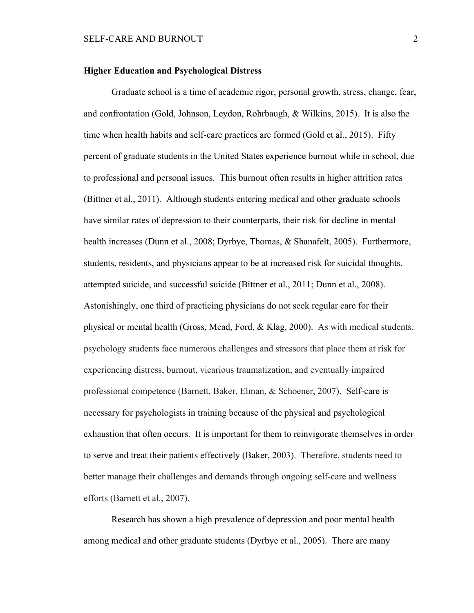#### **Higher Education and Psychological Distress**

Graduate school is a time of academic rigor, personal growth, stress, change, fear, and confrontation (Gold, Johnson, Leydon, Rohrbaugh, & Wilkins, 2015). It is also the time when health habits and self-care practices are formed (Gold et al., 2015). Fifty percent of graduate students in the United States experience burnout while in school, due to professional and personal issues. This burnout often results in higher attrition rates (Bittner et al., 2011). Although students entering medical and other graduate schools have similar rates of depression to their counterparts, their risk for decline in mental health increases (Dunn et al., 2008; Dyrbye, Thomas, & Shanafelt, 2005). Furthermore, students, residents, and physicians appear to be at increased risk for suicidal thoughts, attempted suicide, and successful suicide (Bittner et al., 2011; Dunn et al., 2008). Astonishingly, one third of practicing physicians do not seek regular care for their physical or mental health (Gross, Mead, Ford, & Klag, 2000). As with medical students, psychology students face numerous challenges and stressors that place them at risk for experiencing distress, burnout, vicarious traumatization, and eventually impaired professional competence (Barnett, Baker, Elman, & Schoener, 2007). Self-care is necessary for psychologists in training because of the physical and psychological exhaustion that often occurs. It is important for them to reinvigorate themselves in order to serve and treat their patients effectively (Baker, 2003). Therefore, students need to better manage their challenges and demands through ongoing self-care and wellness efforts (Barnett et al., 2007).

Research has shown a high prevalence of depression and poor mental health among medical and other graduate students (Dyrbye et al., 2005). There are many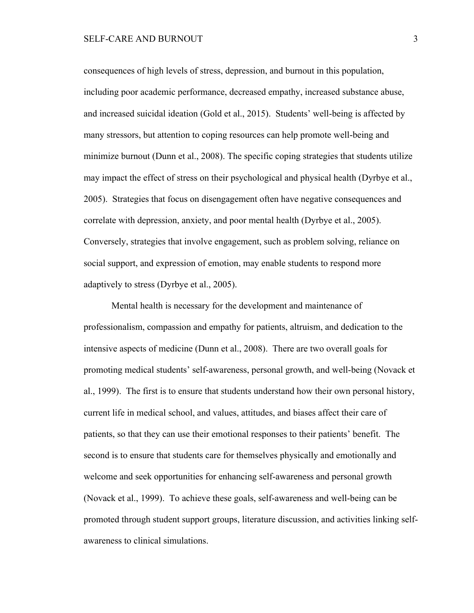consequences of high levels of stress, depression, and burnout in this population, including poor academic performance, decreased empathy, increased substance abuse, and increased suicidal ideation (Gold et al., 2015). Students' well-being is affected by many stressors, but attention to coping resources can help promote well-being and minimize burnout (Dunn et al., 2008). The specific coping strategies that students utilize may impact the effect of stress on their psychological and physical health (Dyrbye et al., 2005). Strategies that focus on disengagement often have negative consequences and correlate with depression, anxiety, and poor mental health (Dyrbye et al., 2005). Conversely, strategies that involve engagement, such as problem solving, reliance on social support, and expression of emotion, may enable students to respond more adaptively to stress (Dyrbye et al., 2005).

Mental health is necessary for the development and maintenance of professionalism, compassion and empathy for patients, altruism, and dedication to the intensive aspects of medicine (Dunn et al., 2008). There are two overall goals for promoting medical students' self-awareness, personal growth, and well-being (Novack et al., 1999). The first is to ensure that students understand how their own personal history, current life in medical school, and values, attitudes, and biases affect their care of patients, so that they can use their emotional responses to their patients' benefit. The second is to ensure that students care for themselves physically and emotionally and welcome and seek opportunities for enhancing self-awareness and personal growth (Novack et al., 1999). To achieve these goals, self-awareness and well-being can be promoted through student support groups, literature discussion, and activities linking selfawareness to clinical simulations.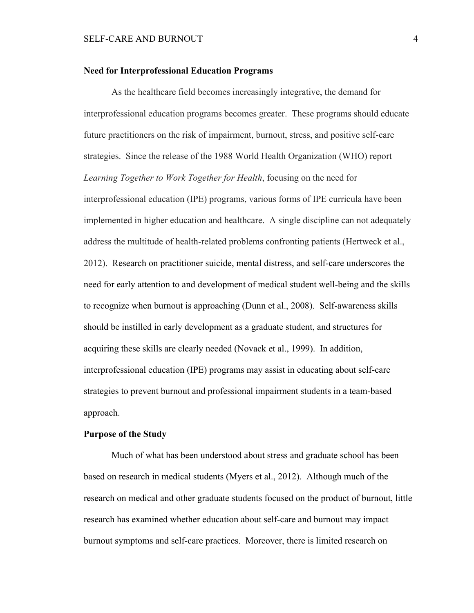#### **Need for Interprofessional Education Programs**

As the healthcare field becomes increasingly integrative, the demand for interprofessional education programs becomes greater. These programs should educate future practitioners on the risk of impairment, burnout, stress, and positive self-care strategies. Since the release of the 1988 World Health Organization (WHO) report *Learning Together to Work Together for Health*, focusing on the need for interprofessional education (IPE) programs, various forms of IPE curricula have been implemented in higher education and healthcare. A single discipline can not adequately address the multitude of health-related problems confronting patients (Hertweck et al., 2012). Research on practitioner suicide, mental distress, and self-care underscores the need for early attention to and development of medical student well-being and the skills to recognize when burnout is approaching (Dunn et al., 2008). Self-awareness skills should be instilled in early development as a graduate student, and structures for acquiring these skills are clearly needed (Novack et al., 1999). In addition, interprofessional education (IPE) programs may assist in educating about self-care strategies to prevent burnout and professional impairment students in a team-based approach.

# **Purpose of the Study**

Much of what has been understood about stress and graduate school has been based on research in medical students (Myers et al., 2012). Although much of the research on medical and other graduate students focused on the product of burnout, little research has examined whether education about self-care and burnout may impact burnout symptoms and self-care practices. Moreover, there is limited research on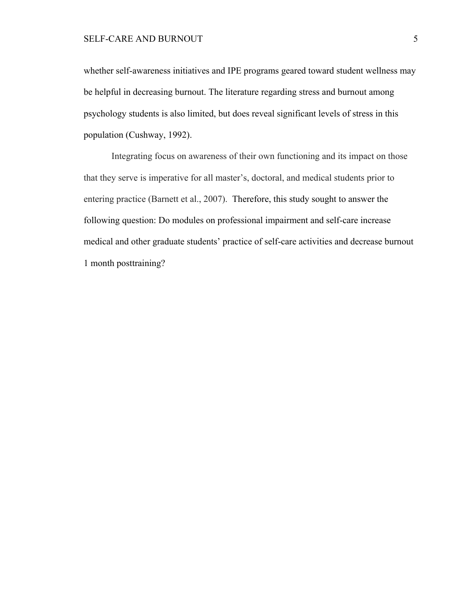whether self-awareness initiatives and IPE programs geared toward student wellness may be helpful in decreasing burnout. The literature regarding stress and burnout among psychology students is also limited, but does reveal significant levels of stress in this population (Cushway, 1992).

Integrating focus on awareness of their own functioning and its impact on those that they serve is imperative for all master's, doctoral, and medical students prior to entering practice (Barnett et al., 2007). Therefore, this study sought to answer the following question: Do modules on professional impairment and self-care increase medical and other graduate students' practice of self-care activities and decrease burnout 1 month posttraining?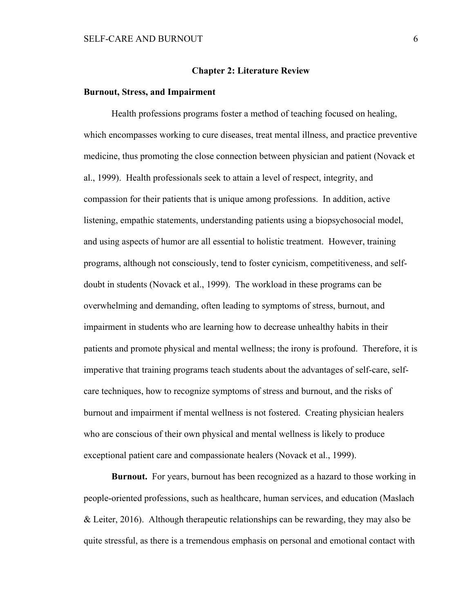#### **Chapter 2: Literature Review**

#### **Burnout, Stress, and Impairment**

Health professions programs foster a method of teaching focused on healing, which encompasses working to cure diseases, treat mental illness, and practice preventive medicine, thus promoting the close connection between physician and patient (Novack et al., 1999). Health professionals seek to attain a level of respect, integrity, and compassion for their patients that is unique among professions. In addition, active listening, empathic statements, understanding patients using a biopsychosocial model, and using aspects of humor are all essential to holistic treatment. However, training programs, although not consciously, tend to foster cynicism, competitiveness, and selfdoubt in students (Novack et al., 1999). The workload in these programs can be overwhelming and demanding, often leading to symptoms of stress, burnout, and impairment in students who are learning how to decrease unhealthy habits in their patients and promote physical and mental wellness; the irony is profound. Therefore, it is imperative that training programs teach students about the advantages of self-care, selfcare techniques, how to recognize symptoms of stress and burnout, and the risks of burnout and impairment if mental wellness is not fostered. Creating physician healers who are conscious of their own physical and mental wellness is likely to produce exceptional patient care and compassionate healers (Novack et al., 1999).

**Burnout.** For years, burnout has been recognized as a hazard to those working in people-oriented professions, such as healthcare, human services, and education (Maslach & Leiter, 2016). Although therapeutic relationships can be rewarding, they may also be quite stressful, as there is a tremendous emphasis on personal and emotional contact with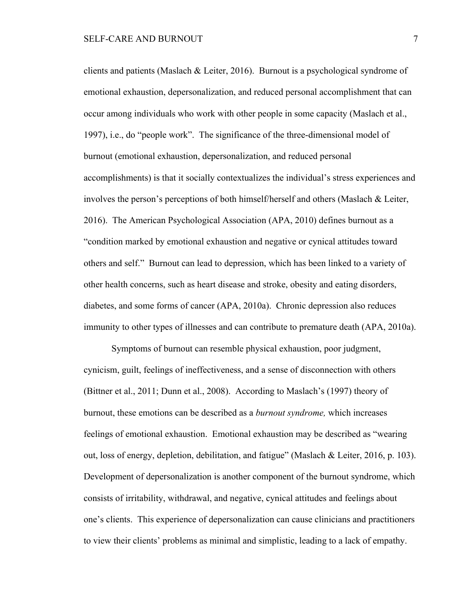clients and patients (Maslach & Leiter, 2016). Burnout is a psychological syndrome of emotional exhaustion, depersonalization, and reduced personal accomplishment that can occur among individuals who work with other people in some capacity (Maslach et al., 1997), i.e., do "people work". The significance of the three-dimensional model of burnout (emotional exhaustion, depersonalization, and reduced personal accomplishments) is that it socially contextualizes the individual's stress experiences and involves the person's perceptions of both himself/herself and others (Maslach & Leiter, 2016). The American Psychological Association (APA, 2010) defines burnout as a "condition marked by emotional exhaustion and negative or cynical attitudes toward others and self." Burnout can lead to depression, which has been linked to a variety of other health concerns, such as heart disease and stroke, obesity and eating disorders, diabetes, and some forms of cancer (APA, 2010a). Chronic depression also reduces immunity to other types of illnesses and can contribute to premature death (APA, 2010a).

Symptoms of burnout can resemble physical exhaustion, poor judgment, cynicism, guilt, feelings of ineffectiveness, and a sense of disconnection with others (Bittner et al., 2011; Dunn et al., 2008). According to Maslach's (1997) theory of burnout, these emotions can be described as a *burnout syndrome,* which increases feelings of emotional exhaustion. Emotional exhaustion may be described as "wearing out, loss of energy, depletion, debilitation, and fatigue" (Maslach & Leiter, 2016, p. 103). Development of depersonalization is another component of the burnout syndrome, which consists of irritability, withdrawal, and negative, cynical attitudes and feelings about one's clients. This experience of depersonalization can cause clinicians and practitioners to view their clients' problems as minimal and simplistic, leading to a lack of empathy.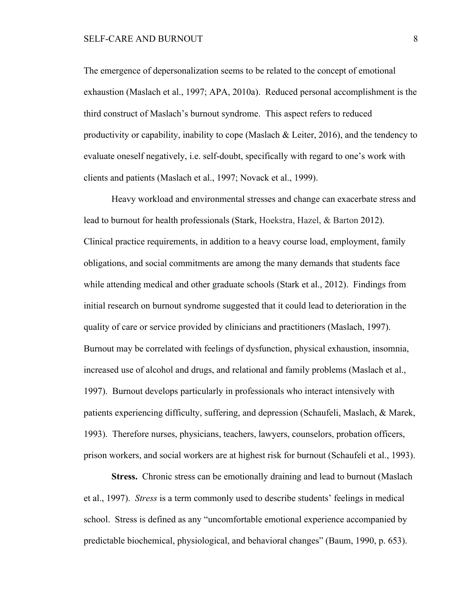The emergence of depersonalization seems to be related to the concept of emotional exhaustion (Maslach et al., 1997; APA, 2010a). Reduced personal accomplishment is the third construct of Maslach's burnout syndrome. This aspect refers to reduced productivity or capability, inability to cope (Maslach  $\&$  Leiter, 2016), and the tendency to evaluate oneself negatively, i.e. self-doubt, specifically with regard to one's work with clients and patients (Maslach et al., 1997; Novack et al., 1999).

Heavy workload and environmental stresses and change can exacerbate stress and lead to burnout for health professionals (Stark, Hoekstra, Hazel, & Barton 2012). Clinical practice requirements, in addition to a heavy course load, employment, family obligations, and social commitments are among the many demands that students face while attending medical and other graduate schools (Stark et al., 2012). Findings from initial research on burnout syndrome suggested that it could lead to deterioration in the quality of care or service provided by clinicians and practitioners (Maslach, 1997). Burnout may be correlated with feelings of dysfunction, physical exhaustion, insomnia, increased use of alcohol and drugs, and relational and family problems (Maslach et al., 1997). Burnout develops particularly in professionals who interact intensively with patients experiencing difficulty, suffering, and depression (Schaufeli, Maslach, & Marek, 1993). Therefore nurses, physicians, teachers, lawyers, counselors, probation officers, prison workers, and social workers are at highest risk for burnout (Schaufeli et al., 1993).

**Stress.** Chronic stress can be emotionally draining and lead to burnout (Maslach et al., 1997). *Stress* is a term commonly used to describe students' feelings in medical school. Stress is defined as any "uncomfortable emotional experience accompanied by predictable biochemical, physiological, and behavioral changes" (Baum, 1990, p. 653).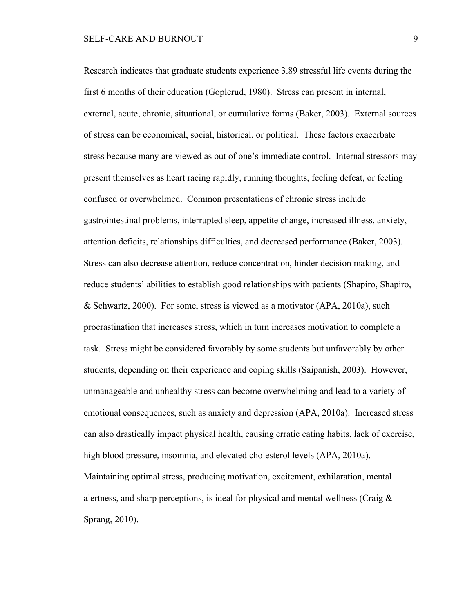Research indicates that graduate students experience 3.89 stressful life events during the first 6 months of their education (Goplerud, 1980). Stress can present in internal, external, acute, chronic, situational, or cumulative forms (Baker, 2003). External sources of stress can be economical, social, historical, or political. These factors exacerbate stress because many are viewed as out of one's immediate control. Internal stressors may present themselves as heart racing rapidly, running thoughts, feeling defeat, or feeling confused or overwhelmed. Common presentations of chronic stress include gastrointestinal problems, interrupted sleep, appetite change, increased illness, anxiety, attention deficits, relationships difficulties, and decreased performance (Baker, 2003). Stress can also decrease attention, reduce concentration, hinder decision making, and reduce students' abilities to establish good relationships with patients (Shapiro, Shapiro, & Schwartz, 2000). For some, stress is viewed as a motivator (APA, 2010a), such procrastination that increases stress, which in turn increases motivation to complete a task. Stress might be considered favorably by some students but unfavorably by other students, depending on their experience and coping skills (Saipanish, 2003). However, unmanageable and unhealthy stress can become overwhelming and lead to a variety of emotional consequences, such as anxiety and depression (APA, 2010a). Increased stress can also drastically impact physical health, causing erratic eating habits, lack of exercise, high blood pressure, insomnia, and elevated cholesterol levels (APA, 2010a). Maintaining optimal stress, producing motivation, excitement, exhilaration, mental alertness, and sharp perceptions, is ideal for physical and mental wellness (Craig & Sprang, 2010).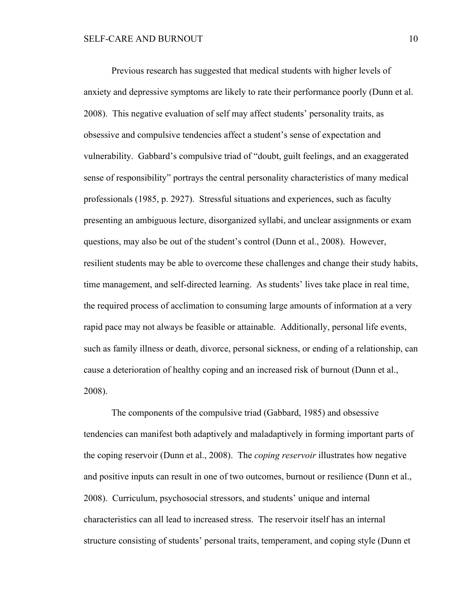Previous research has suggested that medical students with higher levels of anxiety and depressive symptoms are likely to rate their performance poorly (Dunn et al. 2008). This negative evaluation of self may affect students' personality traits, as obsessive and compulsive tendencies affect a student's sense of expectation and vulnerability. Gabbard's compulsive triad of "doubt, guilt feelings, and an exaggerated sense of responsibility" portrays the central personality characteristics of many medical professionals (1985, p. 2927). Stressful situations and experiences, such as faculty presenting an ambiguous lecture, disorganized syllabi, and unclear assignments or exam questions, may also be out of the student's control (Dunn et al., 2008). However, resilient students may be able to overcome these challenges and change their study habits, time management, and self-directed learning. As students' lives take place in real time, the required process of acclimation to consuming large amounts of information at a very rapid pace may not always be feasible or attainable. Additionally, personal life events, such as family illness or death, divorce, personal sickness, or ending of a relationship, can cause a deterioration of healthy coping and an increased risk of burnout (Dunn et al., 2008).

The components of the compulsive triad (Gabbard, 1985) and obsessive tendencies can manifest both adaptively and maladaptively in forming important parts of the coping reservoir (Dunn et al., 2008). The *coping reservoir* illustrates how negative and positive inputs can result in one of two outcomes, burnout or resilience (Dunn et al., 2008). Curriculum, psychosocial stressors, and students' unique and internal characteristics can all lead to increased stress. The reservoir itself has an internal structure consisting of students' personal traits, temperament, and coping style (Dunn et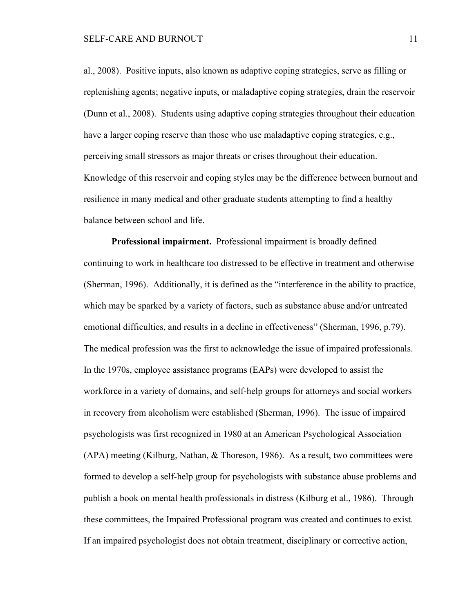al., 2008). Positive inputs, also known as adaptive coping strategies, serve as filling or replenishing agents; negative inputs, or maladaptive coping strategies, drain the reservoir (Dunn et al., 2008). Students using adaptive coping strategies throughout their education have a larger coping reserve than those who use maladaptive coping strategies, e.g., perceiving small stressors as major threats or crises throughout their education. Knowledge of this reservoir and coping styles may be the difference between burnout and resilience in many medical and other graduate students attempting to find a healthy balance between school and life.

**Professional impairment.** Professional impairment is broadly defined continuing to work in healthcare too distressed to be effective in treatment and otherwise (Sherman, 1996). Additionally, it is defined as the "interference in the ability to practice, which may be sparked by a variety of factors, such as substance abuse and/or untreated emotional difficulties, and results in a decline in effectiveness" (Sherman, 1996, p.79). The medical profession was the first to acknowledge the issue of impaired professionals. In the 1970s, employee assistance programs (EAPs) were developed to assist the workforce in a variety of domains, and self-help groups for attorneys and social workers in recovery from alcoholism were established (Sherman, 1996). The issue of impaired psychologists was first recognized in 1980 at an American Psychological Association (APA) meeting (Kilburg, Nathan, & Thoreson, 1986). As a result, two committees were formed to develop a self-help group for psychologists with substance abuse problems and publish a book on mental health professionals in distress (Kilburg et al., 1986). Through these committees, the Impaired Professional program was created and continues to exist. If an impaired psychologist does not obtain treatment, disciplinary or corrective action,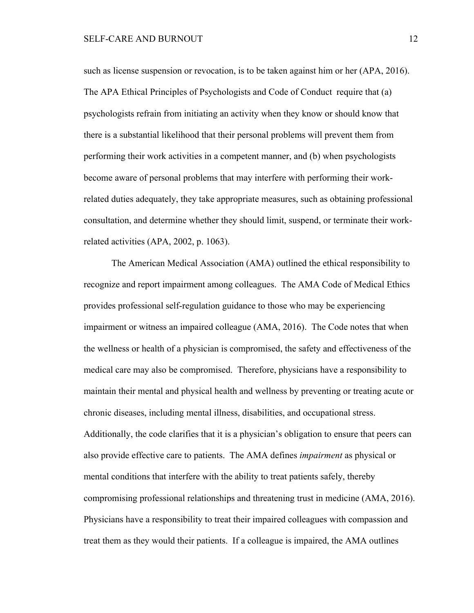such as license suspension or revocation, is to be taken against him or her (APA, 2016). The APA Ethical Principles of Psychologists and Code of Conduct require that (a) psychologists refrain from initiating an activity when they know or should know that there is a substantial likelihood that their personal problems will prevent them from performing their work activities in a competent manner, and (b) when psychologists become aware of personal problems that may interfere with performing their workrelated duties adequately, they take appropriate measures, such as obtaining professional consultation, and determine whether they should limit, suspend, or terminate their workrelated activities (APA, 2002, p. 1063).

The American Medical Association (AMA) outlined the ethical responsibility to recognize and report impairment among colleagues. The AMA Code of Medical Ethics provides professional self-regulation guidance to those who may be experiencing impairment or witness an impaired colleague (AMA, 2016). The Code notes that when the wellness or health of a physician is compromised, the safety and effectiveness of the medical care may also be compromised. Therefore, physicians have a responsibility to maintain their mental and physical health and wellness by preventing or treating acute or chronic diseases, including mental illness, disabilities, and occupational stress. Additionally, the code clarifies that it is a physician's obligation to ensure that peers can also provide effective care to patients. The AMA defines *impairment* as physical or mental conditions that interfere with the ability to treat patients safely, thereby compromising professional relationships and threatening trust in medicine (AMA, 2016). Physicians have a responsibility to treat their impaired colleagues with compassion and treat them as they would their patients. If a colleague is impaired, the AMA outlines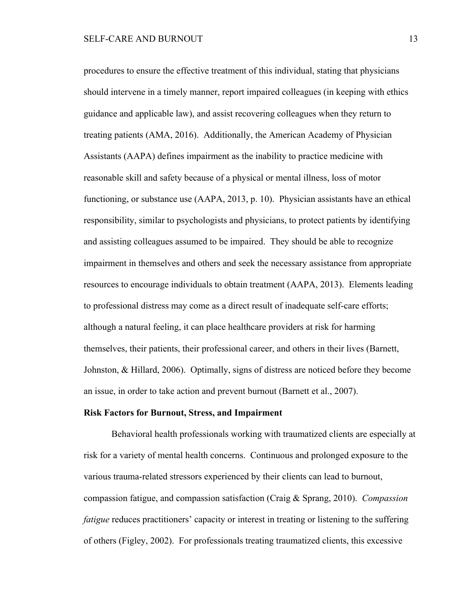procedures to ensure the effective treatment of this individual, stating that physicians should intervene in a timely manner, report impaired colleagues (in keeping with ethics guidance and applicable law), and assist recovering colleagues when they return to treating patients (AMA, 2016). Additionally, the American Academy of Physician Assistants (AAPA) defines impairment as the inability to practice medicine with reasonable skill and safety because of a physical or mental illness, loss of motor functioning, or substance use (AAPA, 2013, p. 10). Physician assistants have an ethical responsibility, similar to psychologists and physicians, to protect patients by identifying and assisting colleagues assumed to be impaired. They should be able to recognize impairment in themselves and others and seek the necessary assistance from appropriate resources to encourage individuals to obtain treatment (AAPA, 2013). Elements leading to professional distress may come as a direct result of inadequate self-care efforts; although a natural feeling, it can place healthcare providers at risk for harming themselves, their patients, their professional career, and others in their lives (Barnett, Johnston, & Hillard, 2006). Optimally, signs of distress are noticed before they become an issue, in order to take action and prevent burnout (Barnett et al., 2007).

#### **Risk Factors for Burnout, Stress, and Impairment**

Behavioral health professionals working with traumatized clients are especially at risk for a variety of mental health concerns. Continuous and prolonged exposure to the various trauma-related stressors experienced by their clients can lead to burnout, compassion fatigue, and compassion satisfaction (Craig & Sprang, 2010). *Compassion fatigue* reduces practitioners' capacity or interest in treating or listening to the suffering of others (Figley, 2002). For professionals treating traumatized clients, this excessive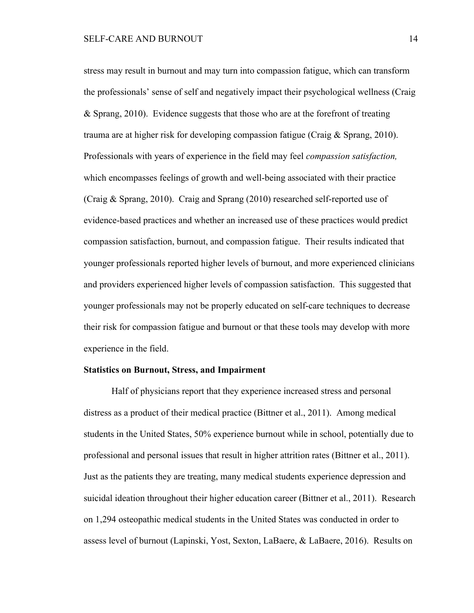stress may result in burnout and may turn into compassion fatigue, which can transform the professionals' sense of self and negatively impact their psychological wellness (Craig & Sprang, 2010). Evidence suggests that those who are at the forefront of treating trauma are at higher risk for developing compassion fatigue (Craig & Sprang, 2010). Professionals with years of experience in the field may feel *compassion satisfaction,* which encompasses feelings of growth and well-being associated with their practice (Craig & Sprang, 2010). Craig and Sprang (2010) researched self-reported use of evidence-based practices and whether an increased use of these practices would predict compassion satisfaction, burnout, and compassion fatigue. Their results indicated that younger professionals reported higher levels of burnout, and more experienced clinicians and providers experienced higher levels of compassion satisfaction. This suggested that younger professionals may not be properly educated on self-care techniques to decrease their risk for compassion fatigue and burnout or that these tools may develop with more experience in the field.

## **Statistics on Burnout, Stress, and Impairment**

Half of physicians report that they experience increased stress and personal distress as a product of their medical practice (Bittner et al., 2011). Among medical students in the United States, 50% experience burnout while in school, potentially due to professional and personal issues that result in higher attrition rates (Bittner et al., 2011). Just as the patients they are treating, many medical students experience depression and suicidal ideation throughout their higher education career (Bittner et al., 2011). Research on 1,294 osteopathic medical students in the United States was conducted in order to assess level of burnout (Lapinski, Yost, Sexton, LaBaere, & LaBaere, 2016). Results on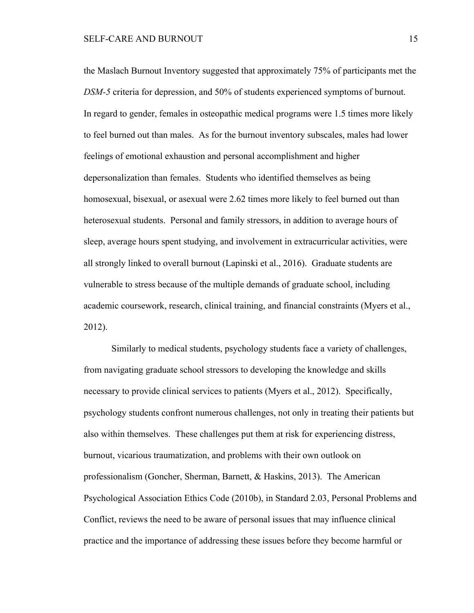the Maslach Burnout Inventory suggested that approximately 75% of participants met the *DSM-5* criteria for depression, and 50% of students experienced symptoms of burnout. In regard to gender, females in osteopathic medical programs were 1.5 times more likely to feel burned out than males. As for the burnout inventory subscales, males had lower feelings of emotional exhaustion and personal accomplishment and higher depersonalization than females. Students who identified themselves as being homosexual, bisexual, or asexual were 2.62 times more likely to feel burned out than heterosexual students. Personal and family stressors, in addition to average hours of sleep, average hours spent studying, and involvement in extracurricular activities, were all strongly linked to overall burnout (Lapinski et al., 2016). Graduate students are vulnerable to stress because of the multiple demands of graduate school, including academic coursework, research, clinical training, and financial constraints (Myers et al., 2012).

Similarly to medical students, psychology students face a variety of challenges, from navigating graduate school stressors to developing the knowledge and skills necessary to provide clinical services to patients (Myers et al., 2012). Specifically, psychology students confront numerous challenges, not only in treating their patients but also within themselves. These challenges put them at risk for experiencing distress, burnout, vicarious traumatization, and problems with their own outlook on professionalism (Goncher, Sherman, Barnett, & Haskins, 2013). The American Psychological Association Ethics Code (2010b), in Standard 2.03, Personal Problems and Conflict, reviews the need to be aware of personal issues that may influence clinical practice and the importance of addressing these issues before they become harmful or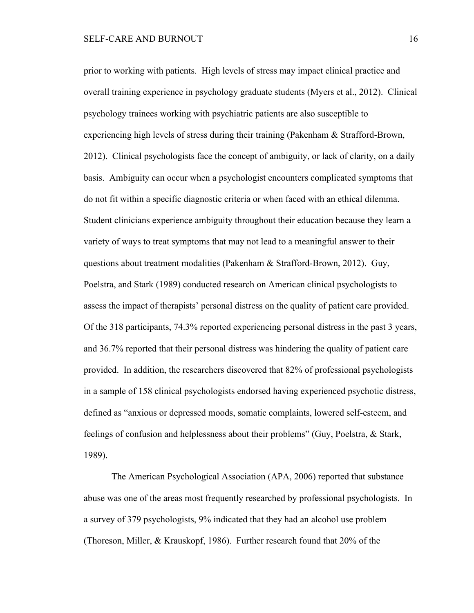prior to working with patients. High levels of stress may impact clinical practice and overall training experience in psychology graduate students (Myers et al., 2012). Clinical psychology trainees working with psychiatric patients are also susceptible to experiencing high levels of stress during their training (Pakenham & Strafford-Brown, 2012). Clinical psychologists face the concept of ambiguity, or lack of clarity, on a daily basis. Ambiguity can occur when a psychologist encounters complicated symptoms that do not fit within a specific diagnostic criteria or when faced with an ethical dilemma. Student clinicians experience ambiguity throughout their education because they learn a variety of ways to treat symptoms that may not lead to a meaningful answer to their questions about treatment modalities (Pakenham & Strafford-Brown, 2012). Guy, Poelstra, and Stark (1989) conducted research on American clinical psychologists to assess the impact of therapists' personal distress on the quality of patient care provided. Of the 318 participants, 74.3% reported experiencing personal distress in the past 3 years, and 36.7% reported that their personal distress was hindering the quality of patient care provided. In addition, the researchers discovered that 82% of professional psychologists in a sample of 158 clinical psychologists endorsed having experienced psychotic distress, defined as "anxious or depressed moods, somatic complaints, lowered self-esteem, and feelings of confusion and helplessness about their problems" (Guy, Poelstra, & Stark, 1989).

The American Psychological Association (APA, 2006) reported that substance abuse was one of the areas most frequently researched by professional psychologists. In a survey of 379 psychologists, 9% indicated that they had an alcohol use problem (Thoreson, Miller, & Krauskopf, 1986). Further research found that 20% of the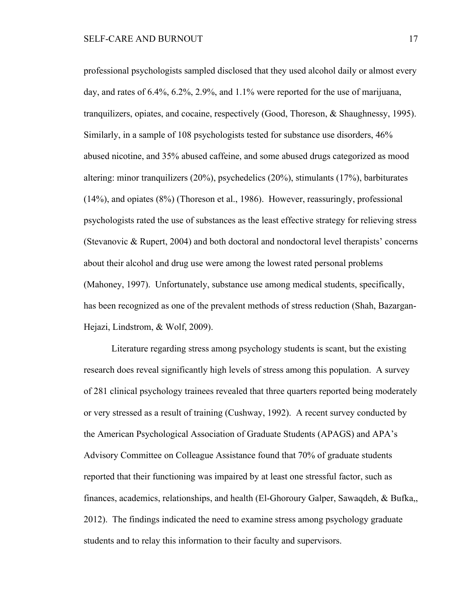professional psychologists sampled disclosed that they used alcohol daily or almost every day, and rates of 6.4%, 6.2%, 2.9%, and 1.1% were reported for the use of marijuana, tranquilizers, opiates, and cocaine, respectively (Good, Thoreson, & Shaughnessy, 1995). Similarly, in a sample of 108 psychologists tested for substance use disorders, 46% abused nicotine, and 35% abused caffeine, and some abused drugs categorized as mood altering: minor tranquilizers (20%), psychedelics (20%), stimulants (17%), barbiturates (14%), and opiates (8%) (Thoreson et al., 1986). However, reassuringly, professional psychologists rated the use of substances as the least effective strategy for relieving stress (Stevanovic & Rupert, 2004) and both doctoral and nondoctoral level therapists' concerns about their alcohol and drug use were among the lowest rated personal problems (Mahoney, 1997). Unfortunately, substance use among medical students, specifically, has been recognized as one of the prevalent methods of stress reduction (Shah, Bazargan-Hejazi, Lindstrom, & Wolf, 2009).

Literature regarding stress among psychology students is scant, but the existing research does reveal significantly high levels of stress among this population. A survey of 281 clinical psychology trainees revealed that three quarters reported being moderately or very stressed as a result of training (Cushway, 1992). A recent survey conducted by the American Psychological Association of Graduate Students (APAGS) and APA's Advisory Committee on Colleague Assistance found that 70% of graduate students reported that their functioning was impaired by at least one stressful factor, such as finances, academics, relationships, and health (El-Ghoroury Galper, Sawaqdeh, & Bufka,, 2012). The findings indicated the need to examine stress among psychology graduate students and to relay this information to their faculty and supervisors.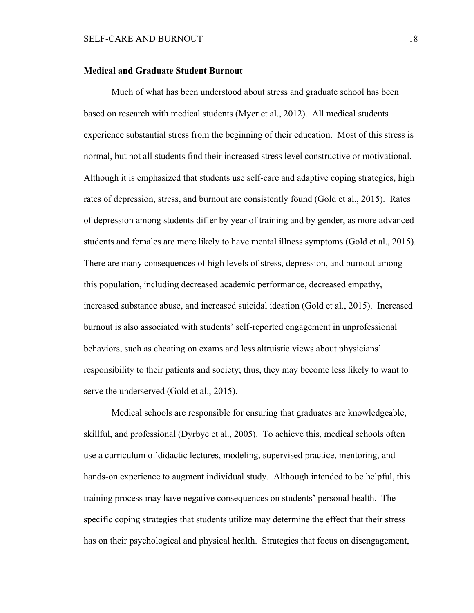## **Medical and Graduate Student Burnout**

Much of what has been understood about stress and graduate school has been based on research with medical students (Myer et al., 2012). All medical students experience substantial stress from the beginning of their education. Most of this stress is normal, but not all students find their increased stress level constructive or motivational. Although it is emphasized that students use self-care and adaptive coping strategies, high rates of depression, stress, and burnout are consistently found (Gold et al., 2015). Rates of depression among students differ by year of training and by gender, as more advanced students and females are more likely to have mental illness symptoms (Gold et al., 2015). There are many consequences of high levels of stress, depression, and burnout among this population, including decreased academic performance, decreased empathy, increased substance abuse, and increased suicidal ideation (Gold et al., 2015). Increased burnout is also associated with students' self-reported engagement in unprofessional behaviors, such as cheating on exams and less altruistic views about physicians' responsibility to their patients and society; thus, they may become less likely to want to serve the underserved (Gold et al., 2015).

Medical schools are responsible for ensuring that graduates are knowledgeable, skillful, and professional (Dyrbye et al., 2005). To achieve this, medical schools often use a curriculum of didactic lectures, modeling, supervised practice, mentoring, and hands-on experience to augment individual study. Although intended to be helpful, this training process may have negative consequences on students' personal health. The specific coping strategies that students utilize may determine the effect that their stress has on their psychological and physical health. Strategies that focus on disengagement,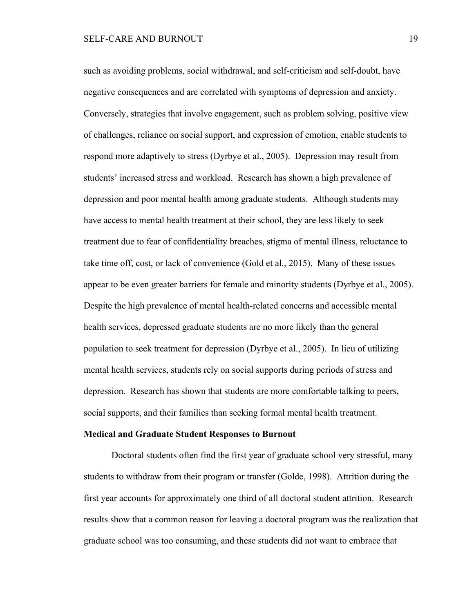such as avoiding problems, social withdrawal, and self-criticism and self-doubt, have negative consequences and are correlated with symptoms of depression and anxiety. Conversely, strategies that involve engagement, such as problem solving, positive view of challenges, reliance on social support, and expression of emotion, enable students to respond more adaptively to stress (Dyrbye et al., 2005). Depression may result from students' increased stress and workload. Research has shown a high prevalence of depression and poor mental health among graduate students. Although students may have access to mental health treatment at their school, they are less likely to seek treatment due to fear of confidentiality breaches, stigma of mental illness, reluctance to take time off, cost, or lack of convenience (Gold et al., 2015). Many of these issues appear to be even greater barriers for female and minority students (Dyrbye et al., 2005). Despite the high prevalence of mental health-related concerns and accessible mental health services, depressed graduate students are no more likely than the general population to seek treatment for depression (Dyrbye et al., 2005). In lieu of utilizing mental health services, students rely on social supports during periods of stress and depression. Research has shown that students are more comfortable talking to peers, social supports, and their families than seeking formal mental health treatment.

# **Medical and Graduate Student Responses to Burnout**

Doctoral students often find the first year of graduate school very stressful, many students to withdraw from their program or transfer (Golde, 1998). Attrition during the first year accounts for approximately one third of all doctoral student attrition. Research results show that a common reason for leaving a doctoral program was the realization that graduate school was too consuming, and these students did not want to embrace that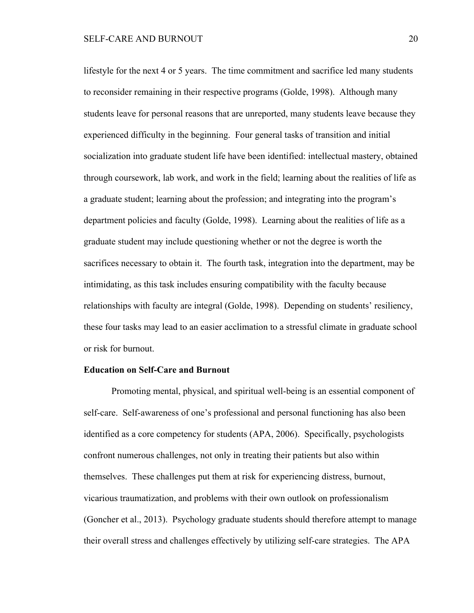lifestyle for the next 4 or 5 years. The time commitment and sacrifice led many students to reconsider remaining in their respective programs (Golde, 1998). Although many students leave for personal reasons that are unreported, many students leave because they experienced difficulty in the beginning. Four general tasks of transition and initial socialization into graduate student life have been identified: intellectual mastery, obtained through coursework, lab work, and work in the field; learning about the realities of life as a graduate student; learning about the profession; and integrating into the program's department policies and faculty (Golde, 1998). Learning about the realities of life as a graduate student may include questioning whether or not the degree is worth the sacrifices necessary to obtain it. The fourth task, integration into the department, may be intimidating, as this task includes ensuring compatibility with the faculty because relationships with faculty are integral (Golde, 1998). Depending on students' resiliency, these four tasks may lead to an easier acclimation to a stressful climate in graduate school or risk for burnout.

## **Education on Self-Care and Burnout**

Promoting mental, physical, and spiritual well-being is an essential component of self-care. Self-awareness of one's professional and personal functioning has also been identified as a core competency for students (APA, 2006). Specifically, psychologists confront numerous challenges, not only in treating their patients but also within themselves. These challenges put them at risk for experiencing distress, burnout, vicarious traumatization, and problems with their own outlook on professionalism (Goncher et al., 2013). Psychology graduate students should therefore attempt to manage their overall stress and challenges effectively by utilizing self-care strategies. The APA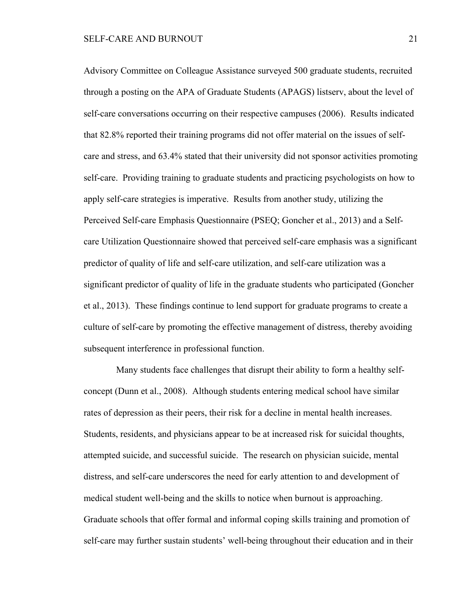Advisory Committee on Colleague Assistance surveyed 500 graduate students, recruited through a posting on the APA of Graduate Students (APAGS) listserv, about the level of self-care conversations occurring on their respective campuses (2006). Results indicated that 82.8% reported their training programs did not offer material on the issues of selfcare and stress, and 63.4% stated that their university did not sponsor activities promoting self-care. Providing training to graduate students and practicing psychologists on how to apply self-care strategies is imperative. Results from another study, utilizing the Perceived Self-care Emphasis Questionnaire (PSEQ; Goncher et al., 2013) and a Selfcare Utilization Questionnaire showed that perceived self-care emphasis was a significant predictor of quality of life and self-care utilization, and self-care utilization was a significant predictor of quality of life in the graduate students who participated (Goncher et al., 2013). These findings continue to lend support for graduate programs to create a culture of self-care by promoting the effective management of distress, thereby avoiding subsequent interference in professional function.

 Many students face challenges that disrupt their ability to form a healthy selfconcept (Dunn et al., 2008). Although students entering medical school have similar rates of depression as their peers, their risk for a decline in mental health increases. Students, residents, and physicians appear to be at increased risk for suicidal thoughts, attempted suicide, and successful suicide. The research on physician suicide, mental distress, and self-care underscores the need for early attention to and development of medical student well-being and the skills to notice when burnout is approaching. Graduate schools that offer formal and informal coping skills training and promotion of self-care may further sustain students' well-being throughout their education and in their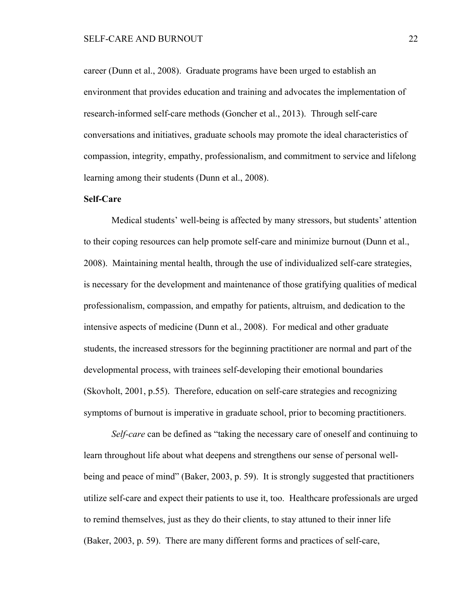career (Dunn et al., 2008). Graduate programs have been urged to establish an environment that provides education and training and advocates the implementation of research-informed self-care methods (Goncher et al., 2013). Through self-care conversations and initiatives, graduate schools may promote the ideal characteristics of compassion, integrity, empathy, professionalism, and commitment to service and lifelong learning among their students (Dunn et al., 2008).

## **Self-Care**

Medical students' well-being is affected by many stressors, but students' attention to their coping resources can help promote self-care and minimize burnout (Dunn et al., 2008). Maintaining mental health, through the use of individualized self-care strategies, is necessary for the development and maintenance of those gratifying qualities of medical professionalism, compassion, and empathy for patients, altruism, and dedication to the intensive aspects of medicine (Dunn et al., 2008). For medical and other graduate students, the increased stressors for the beginning practitioner are normal and part of the developmental process, with trainees self-developing their emotional boundaries (Skovholt, 2001, p.55). Therefore, education on self-care strategies and recognizing symptoms of burnout is imperative in graduate school, prior to becoming practitioners.

*Self-care* can be defined as "taking the necessary care of oneself and continuing to learn throughout life about what deepens and strengthens our sense of personal wellbeing and peace of mind" (Baker, 2003, p. 59). It is strongly suggested that practitioners utilize self-care and expect their patients to use it, too. Healthcare professionals are urged to remind themselves, just as they do their clients, to stay attuned to their inner life (Baker, 2003, p. 59). There are many different forms and practices of self-care,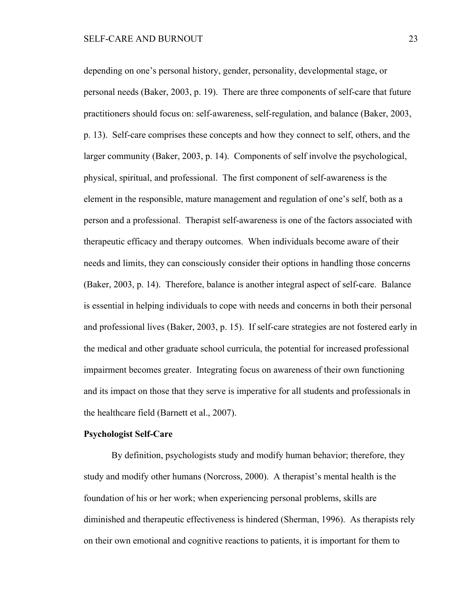depending on one's personal history, gender, personality, developmental stage, or personal needs (Baker, 2003, p. 19). There are three components of self-care that future practitioners should focus on: self-awareness, self-regulation, and balance (Baker, 2003, p. 13). Self-care comprises these concepts and how they connect to self, others, and the larger community (Baker, 2003, p. 14). Components of self involve the psychological, physical, spiritual, and professional. The first component of self-awareness is the element in the responsible, mature management and regulation of one's self, both as a person and a professional. Therapist self-awareness is one of the factors associated with therapeutic efficacy and therapy outcomes. When individuals become aware of their needs and limits, they can consciously consider their options in handling those concerns (Baker, 2003, p. 14). Therefore, balance is another integral aspect of self-care. Balance is essential in helping individuals to cope with needs and concerns in both their personal and professional lives (Baker, 2003, p. 15). If self-care strategies are not fostered early in the medical and other graduate school curricula, the potential for increased professional impairment becomes greater. Integrating focus on awareness of their own functioning and its impact on those that they serve is imperative for all students and professionals in the healthcare field (Barnett et al., 2007).

# **Psychologist Self-Care**

By definition, psychologists study and modify human behavior; therefore, they study and modify other humans (Norcross, 2000). A therapist's mental health is the foundation of his or her work; when experiencing personal problems, skills are diminished and therapeutic effectiveness is hindered (Sherman, 1996). As therapists rely on their own emotional and cognitive reactions to patients, it is important for them to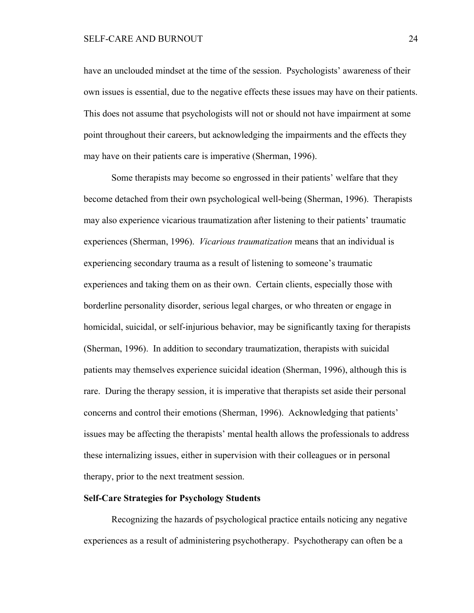have an unclouded mindset at the time of the session. Psychologists' awareness of their own issues is essential, due to the negative effects these issues may have on their patients. This does not assume that psychologists will not or should not have impairment at some point throughout their careers, but acknowledging the impairments and the effects they may have on their patients care is imperative (Sherman, 1996).

Some therapists may become so engrossed in their patients' welfare that they become detached from their own psychological well-being (Sherman, 1996). Therapists may also experience vicarious traumatization after listening to their patients' traumatic experiences (Sherman, 1996). *Vicarious traumatization* means that an individual is experiencing secondary trauma as a result of listening to someone's traumatic experiences and taking them on as their own. Certain clients, especially those with borderline personality disorder, serious legal charges, or who threaten or engage in homicidal, suicidal, or self-injurious behavior, may be significantly taxing for therapists (Sherman, 1996). In addition to secondary traumatization, therapists with suicidal patients may themselves experience suicidal ideation (Sherman, 1996), although this is rare. During the therapy session, it is imperative that therapists set aside their personal concerns and control their emotions (Sherman, 1996). Acknowledging that patients' issues may be affecting the therapists' mental health allows the professionals to address these internalizing issues, either in supervision with their colleagues or in personal therapy, prior to the next treatment session.

# **Self-Care Strategies for Psychology Students**

Recognizing the hazards of psychological practice entails noticing any negative experiences as a result of administering psychotherapy. Psychotherapy can often be a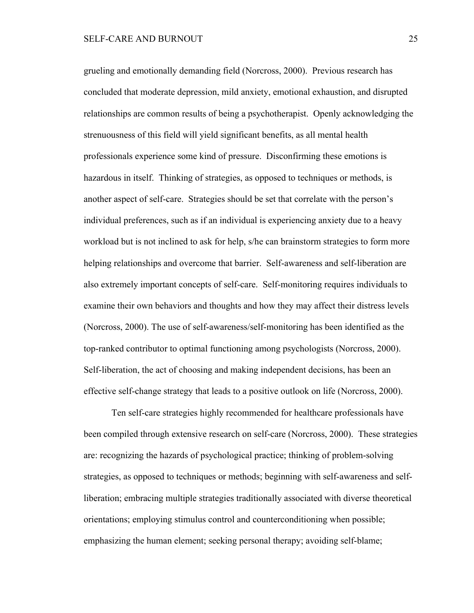grueling and emotionally demanding field (Norcross, 2000). Previous research has concluded that moderate depression, mild anxiety, emotional exhaustion, and disrupted relationships are common results of being a psychotherapist. Openly acknowledging the strenuousness of this field will yield significant benefits, as all mental health professionals experience some kind of pressure. Disconfirming these emotions is hazardous in itself. Thinking of strategies, as opposed to techniques or methods, is another aspect of self-care. Strategies should be set that correlate with the person's individual preferences, such as if an individual is experiencing anxiety due to a heavy workload but is not inclined to ask for help, s/he can brainstorm strategies to form more helping relationships and overcome that barrier. Self-awareness and self-liberation are also extremely important concepts of self-care. Self-monitoring requires individuals to examine their own behaviors and thoughts and how they may affect their distress levels (Norcross, 2000). The use of self-awareness/self-monitoring has been identified as the top-ranked contributor to optimal functioning among psychologists (Norcross, 2000). Self-liberation, the act of choosing and making independent decisions, has been an effective self-change strategy that leads to a positive outlook on life (Norcross, 2000).

Ten self-care strategies highly recommended for healthcare professionals have been compiled through extensive research on self-care (Norcross, 2000). These strategies are: recognizing the hazards of psychological practice; thinking of problem-solving strategies, as opposed to techniques or methods; beginning with self-awareness and selfliberation; embracing multiple strategies traditionally associated with diverse theoretical orientations; employing stimulus control and counterconditioning when possible; emphasizing the human element; seeking personal therapy; avoiding self-blame;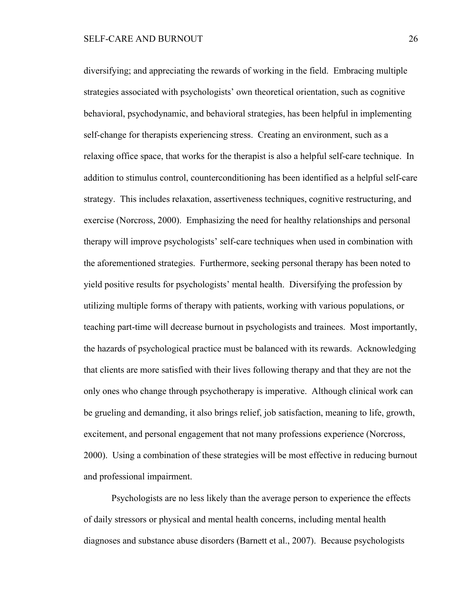diversifying; and appreciating the rewards of working in the field. Embracing multiple strategies associated with psychologists' own theoretical orientation, such as cognitive behavioral, psychodynamic, and behavioral strategies, has been helpful in implementing self-change for therapists experiencing stress. Creating an environment, such as a relaxing office space, that works for the therapist is also a helpful self-care technique. In addition to stimulus control, counterconditioning has been identified as a helpful self-care strategy. This includes relaxation, assertiveness techniques, cognitive restructuring, and exercise (Norcross, 2000). Emphasizing the need for healthy relationships and personal therapy will improve psychologists' self-care techniques when used in combination with the aforementioned strategies. Furthermore, seeking personal therapy has been noted to yield positive results for psychologists' mental health. Diversifying the profession by utilizing multiple forms of therapy with patients, working with various populations, or teaching part-time will decrease burnout in psychologists and trainees. Most importantly, the hazards of psychological practice must be balanced with its rewards. Acknowledging that clients are more satisfied with their lives following therapy and that they are not the only ones who change through psychotherapy is imperative. Although clinical work can be grueling and demanding, it also brings relief, job satisfaction, meaning to life, growth, excitement, and personal engagement that not many professions experience (Norcross, 2000). Using a combination of these strategies will be most effective in reducing burnout and professional impairment.

Psychologists are no less likely than the average person to experience the effects of daily stressors or physical and mental health concerns, including mental health diagnoses and substance abuse disorders (Barnett et al., 2007). Because psychologists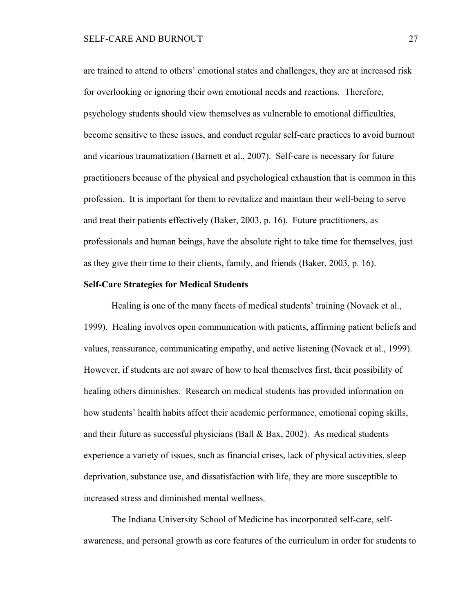are trained to attend to others' emotional states and challenges, they are at increased risk for overlooking or ignoring their own emotional needs and reactions. Therefore, psychology students should view themselves as vulnerable to emotional difficulties, become sensitive to these issues, and conduct regular self-care practices to avoid burnout and vicarious traumatization (Barnett et al., 2007). Self-care is necessary for future practitioners because of the physical and psychological exhaustion that is common in this profession. It is important for them to revitalize and maintain their well-being to serve and treat their patients effectively (Baker, 2003, p. 16). Future practitioners, as professionals and human beings, have the absolute right to take time for themselves, just as they give their time to their clients, family, and friends (Baker, 2003, p. 16).

# **Self-Care Strategies for Medical Students**

Healing is one of the many facets of medical students' training (Novack et al., 1999). Healing involves open communication with patients, affirming patient beliefs and values, reassurance, communicating empathy, and active listening (Novack et al., 1999). However, if students are not aware of how to heal themselves first, their possibility of healing others diminishes. Research on medical students has provided information on how students' health habits affect their academic performance, emotional coping skills, and their future as successful physicians **(**Ball & Bax, 2002). As medical students experience a variety of issues, such as financial crises, lack of physical activities, sleep deprivation, substance use, and dissatisfaction with life, they are more susceptible to increased stress and diminished mental wellness.

The Indiana University School of Medicine has incorporated self-care, selfawareness, and personal growth as core features of the curriculum in order for students to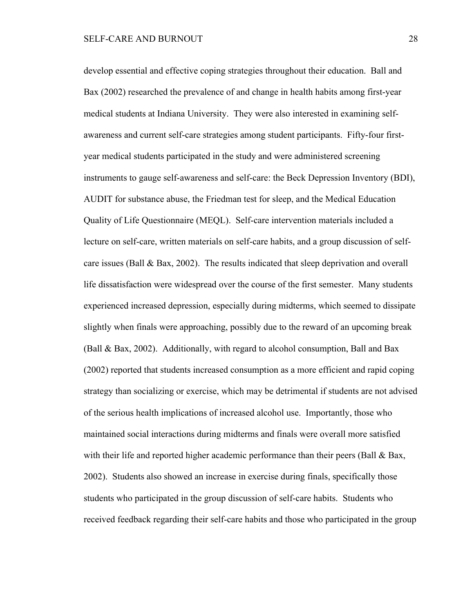develop essential and effective coping strategies throughout their education. Ball and Bax (2002) researched the prevalence of and change in health habits among first-year medical students at Indiana University. They were also interested in examining selfawareness and current self-care strategies among student participants. Fifty-four firstyear medical students participated in the study and were administered screening instruments to gauge self-awareness and self-care: the Beck Depression Inventory (BDI), AUDIT for substance abuse, the Friedman test for sleep, and the Medical Education Quality of Life Questionnaire (MEQL). Self-care intervention materials included a lecture on self-care, written materials on self-care habits, and a group discussion of selfcare issues (Ball  $\&$  Bax, 2002). The results indicated that sleep deprivation and overall life dissatisfaction were widespread over the course of the first semester. Many students experienced increased depression, especially during midterms, which seemed to dissipate slightly when finals were approaching, possibly due to the reward of an upcoming break (Ball & Bax, 2002). Additionally, with regard to alcohol consumption, Ball and Bax (2002) reported that students increased consumption as a more efficient and rapid coping strategy than socializing or exercise, which may be detrimental if students are not advised of the serious health implications of increased alcohol use. Importantly, those who maintained social interactions during midterms and finals were overall more satisfied with their life and reported higher academic performance than their peers (Ball & Bax, 2002). Students also showed an increase in exercise during finals, specifically those students who participated in the group discussion of self-care habits. Students who received feedback regarding their self-care habits and those who participated in the group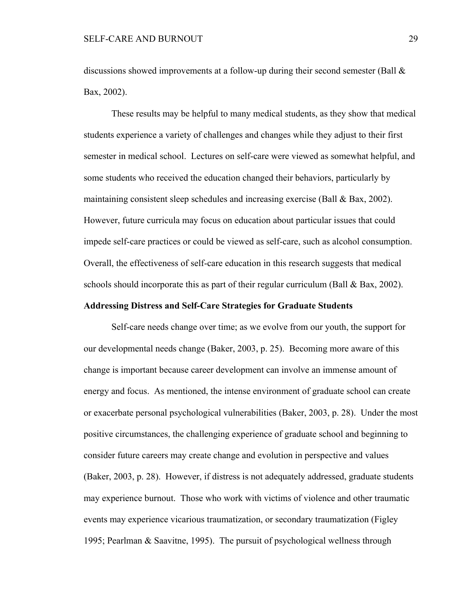discussions showed improvements at a follow-up during their second semester (Ball & Bax, 2002).

These results may be helpful to many medical students, as they show that medical students experience a variety of challenges and changes while they adjust to their first semester in medical school. Lectures on self-care were viewed as somewhat helpful, and some students who received the education changed their behaviors, particularly by maintaining consistent sleep schedules and increasing exercise (Ball & Bax, 2002). However, future curricula may focus on education about particular issues that could impede self-care practices or could be viewed as self-care, such as alcohol consumption. Overall, the effectiveness of self-care education in this research suggests that medical schools should incorporate this as part of their regular curriculum (Ball & Bax, 2002).

#### **Addressing Distress and Self-Care Strategies for Graduate Students**

Self-care needs change over time; as we evolve from our youth, the support for our developmental needs change (Baker, 2003, p. 25). Becoming more aware of this change is important because career development can involve an immense amount of energy and focus. As mentioned, the intense environment of graduate school can create or exacerbate personal psychological vulnerabilities (Baker, 2003, p. 28). Under the most positive circumstances, the challenging experience of graduate school and beginning to consider future careers may create change and evolution in perspective and values (Baker, 2003, p. 28). However, if distress is not adequately addressed, graduate students may experience burnout. Those who work with victims of violence and other traumatic events may experience vicarious traumatization, or secondary traumatization (Figley 1995; Pearlman & Saavitne, 1995). The pursuit of psychological wellness through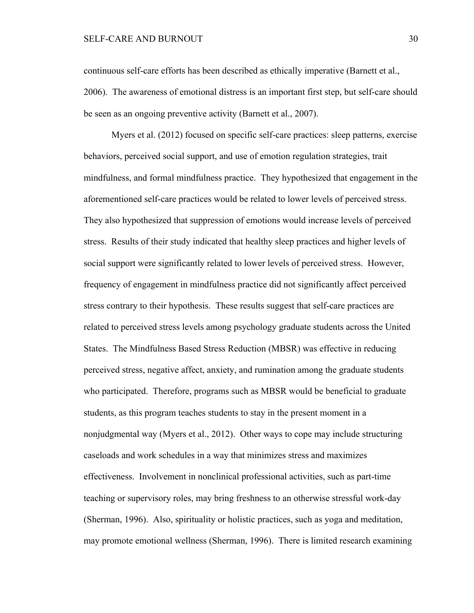# SELF-CARE AND BURNOUT 30

continuous self-care efforts has been described as ethically imperative (Barnett et al., 2006). The awareness of emotional distress is an important first step, but self-care should be seen as an ongoing preventive activity (Barnett et al., 2007).

Myers et al. (2012) focused on specific self-care practices: sleep patterns, exercise behaviors, perceived social support, and use of emotion regulation strategies, trait mindfulness, and formal mindfulness practice. They hypothesized that engagement in the aforementioned self-care practices would be related to lower levels of perceived stress. They also hypothesized that suppression of emotions would increase levels of perceived stress. Results of their study indicated that healthy sleep practices and higher levels of social support were significantly related to lower levels of perceived stress. However, frequency of engagement in mindfulness practice did not significantly affect perceived stress contrary to their hypothesis. These results suggest that self-care practices are related to perceived stress levels among psychology graduate students across the United States. The Mindfulness Based Stress Reduction (MBSR) was effective in reducing perceived stress, negative affect, anxiety, and rumination among the graduate students who participated. Therefore, programs such as MBSR would be beneficial to graduate students, as this program teaches students to stay in the present moment in a nonjudgmental way (Myers et al., 2012). Other ways to cope may include structuring caseloads and work schedules in a way that minimizes stress and maximizes effectiveness. Involvement in nonclinical professional activities, such as part-time teaching or supervisory roles, may bring freshness to an otherwise stressful work-day (Sherman, 1996). Also, spirituality or holistic practices, such as yoga and meditation, may promote emotional wellness (Sherman, 1996). There is limited research examining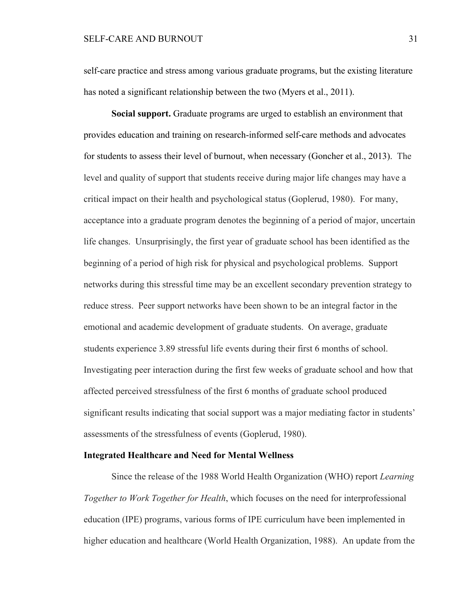# SELF-CARE AND BURNOUT 31

self-care practice and stress among various graduate programs, but the existing literature has noted a significant relationship between the two (Myers et al., 2011).

**Social support.** Graduate programs are urged to establish an environment that provides education and training on research-informed self-care methods and advocates for students to assess their level of burnout, when necessary (Goncher et al., 2013). The level and quality of support that students receive during major life changes may have a critical impact on their health and psychological status (Goplerud, 1980). For many, acceptance into a graduate program denotes the beginning of a period of major, uncertain life changes. Unsurprisingly, the first year of graduate school has been identified as the beginning of a period of high risk for physical and psychological problems. Support networks during this stressful time may be an excellent secondary prevention strategy to reduce stress. Peer support networks have been shown to be an integral factor in the emotional and academic development of graduate students. On average, graduate students experience 3.89 stressful life events during their first 6 months of school. Investigating peer interaction during the first few weeks of graduate school and how that affected perceived stressfulness of the first 6 months of graduate school produced significant results indicating that social support was a major mediating factor in students' assessments of the stressfulness of events (Goplerud, 1980).

#### **Integrated Healthcare and Need for Mental Wellness**

Since the release of the 1988 World Health Organization (WHO) report *Learning Together to Work Together for Health*, which focuses on the need for interprofessional education (IPE) programs, various forms of IPE curriculum have been implemented in higher education and healthcare (World Health Organization, 1988). An update from the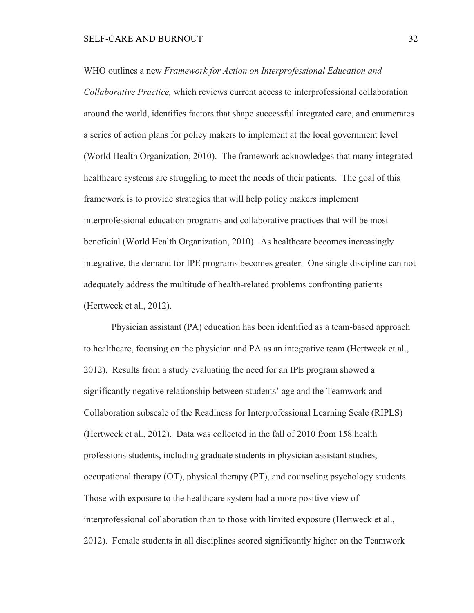WHO outlines a new *Framework for Action on Interprofessional Education and Collaborative Practice,* which reviews current access to interprofessional collaboration around the world, identifies factors that shape successful integrated care, and enumerates a series of action plans for policy makers to implement at the local government level (World Health Organization, 2010). The framework acknowledges that many integrated healthcare systems are struggling to meet the needs of their patients. The goal of this framework is to provide strategies that will help policy makers implement interprofessional education programs and collaborative practices that will be most beneficial (World Health Organization, 2010). As healthcare becomes increasingly integrative, the demand for IPE programs becomes greater. One single discipline can not adequately address the multitude of health-related problems confronting patients (Hertweck et al., 2012).

Physician assistant (PA) education has been identified as a team-based approach to healthcare, focusing on the physician and PA as an integrative team (Hertweck et al., 2012). Results from a study evaluating the need for an IPE program showed a significantly negative relationship between students' age and the Teamwork and Collaboration subscale of the Readiness for Interprofessional Learning Scale (RIPLS) (Hertweck et al., 2012). Data was collected in the fall of 2010 from 158 health professions students, including graduate students in physician assistant studies, occupational therapy (OT), physical therapy (PT), and counseling psychology students. Those with exposure to the healthcare system had a more positive view of interprofessional collaboration than to those with limited exposure (Hertweck et al., 2012). Female students in all disciplines scored significantly higher on the Teamwork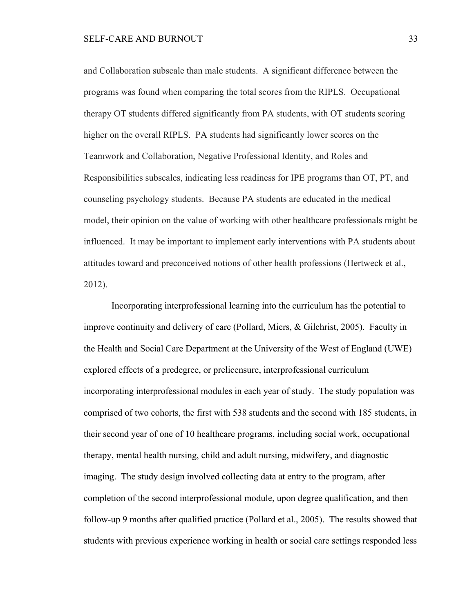and Collaboration subscale than male students. A significant difference between the programs was found when comparing the total scores from the RIPLS. Occupational therapy OT students differed significantly from PA students, with OT students scoring higher on the overall RIPLS. PA students had significantly lower scores on the Teamwork and Collaboration, Negative Professional Identity, and Roles and Responsibilities subscales, indicating less readiness for IPE programs than OT, PT, and counseling psychology students. Because PA students are educated in the medical model, their opinion on the value of working with other healthcare professionals might be influenced. It may be important to implement early interventions with PA students about attitudes toward and preconceived notions of other health professions (Hertweck et al., 2012).

Incorporating interprofessional learning into the curriculum has the potential to improve continuity and delivery of care (Pollard, Miers, & Gilchrist, 2005). Faculty in the Health and Social Care Department at the University of the West of England (UWE) explored effects of a predegree, or prelicensure, interprofessional curriculum incorporating interprofessional modules in each year of study. The study population was comprised of two cohorts, the first with 538 students and the second with 185 students, in their second year of one of 10 healthcare programs, including social work, occupational therapy, mental health nursing, child and adult nursing, midwifery, and diagnostic imaging. The study design involved collecting data at entry to the program, after completion of the second interprofessional module, upon degree qualification, and then follow-up 9 months after qualified practice (Pollard et al., 2005). The results showed that students with previous experience working in health or social care settings responded less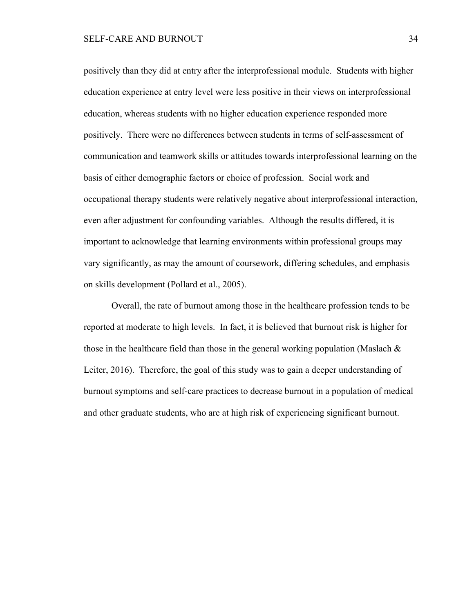positively than they did at entry after the interprofessional module. Students with higher education experience at entry level were less positive in their views on interprofessional education, whereas students with no higher education experience responded more positively. There were no differences between students in terms of self-assessment of communication and teamwork skills or attitudes towards interprofessional learning on the basis of either demographic factors or choice of profession. Social work and occupational therapy students were relatively negative about interprofessional interaction, even after adjustment for confounding variables. Although the results differed, it is important to acknowledge that learning environments within professional groups may vary significantly, as may the amount of coursework, differing schedules, and emphasis on skills development (Pollard et al., 2005).

Overall, the rate of burnout among those in the healthcare profession tends to be reported at moderate to high levels. In fact, it is believed that burnout risk is higher for those in the healthcare field than those in the general working population (Maslach  $\&$ Leiter, 2016). Therefore, the goal of this study was to gain a deeper understanding of burnout symptoms and self-care practices to decrease burnout in a population of medical and other graduate students, who are at high risk of experiencing significant burnout.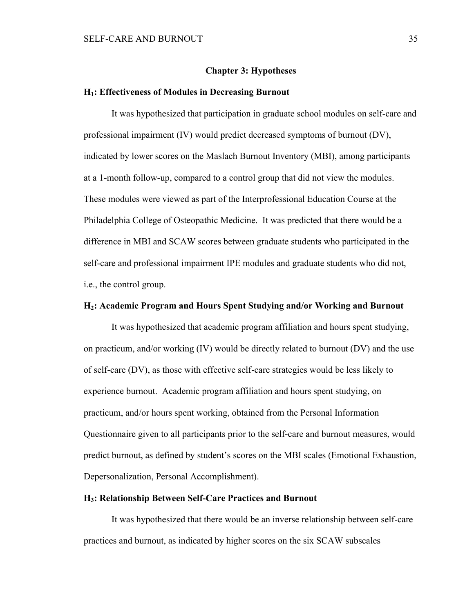#### **Chapter 3: Hypotheses**

#### **H1: Effectiveness of Modules in Decreasing Burnout**

It was hypothesized that participation in graduate school modules on self-care and professional impairment (IV) would predict decreased symptoms of burnout (DV), indicated by lower scores on the Maslach Burnout Inventory (MBI), among participants at a 1-month follow-up, compared to a control group that did not view the modules. These modules were viewed as part of the Interprofessional Education Course at the Philadelphia College of Osteopathic Medicine. It was predicted that there would be a difference in MBI and SCAW scores between graduate students who participated in the self-care and professional impairment IPE modules and graduate students who did not, i.e., the control group.

## **H2: Academic Program and Hours Spent Studying and/or Working and Burnout**

It was hypothesized that academic program affiliation and hours spent studying, on practicum, and/or working (IV) would be directly related to burnout (DV) and the use of self-care (DV), as those with effective self-care strategies would be less likely to experience burnout. Academic program affiliation and hours spent studying, on practicum, and/or hours spent working, obtained from the Personal Information Questionnaire given to all participants prior to the self-care and burnout measures, would predict burnout, as defined by student's scores on the MBI scales (Emotional Exhaustion, Depersonalization, Personal Accomplishment).

# **H3: Relationship Between Self-Care Practices and Burnout**

It was hypothesized that there would be an inverse relationship between self-care practices and burnout, as indicated by higher scores on the six SCAW subscales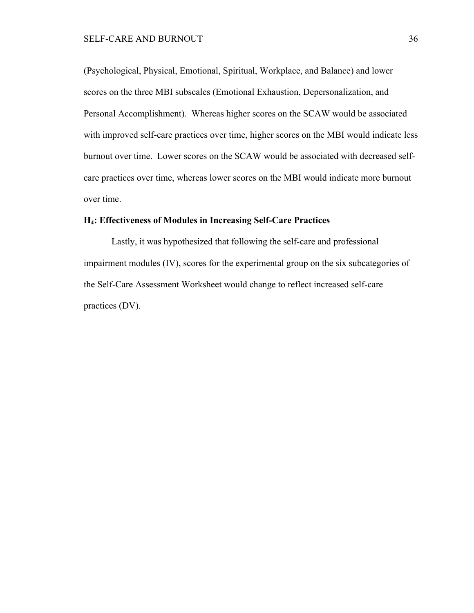(Psychological, Physical, Emotional, Spiritual, Workplace, and Balance) and lower scores on the three MBI subscales (Emotional Exhaustion, Depersonalization, and Personal Accomplishment). Whereas higher scores on the SCAW would be associated with improved self-care practices over time, higher scores on the MBI would indicate less burnout over time. Lower scores on the SCAW would be associated with decreased selfcare practices over time, whereas lower scores on the MBI would indicate more burnout over time.

## **H4: Effectiveness of Modules in Increasing Self-Care Practices**

Lastly, it was hypothesized that following the self-care and professional impairment modules (IV), scores for the experimental group on the six subcategories of the Self-Care Assessment Worksheet would change to reflect increased self-care practices (DV).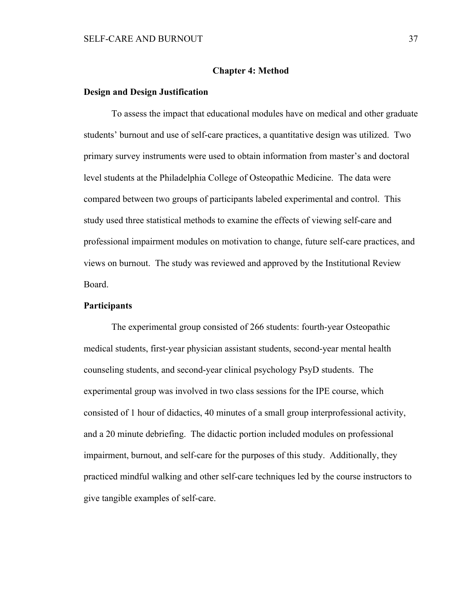#### **Chapter 4: Method**

#### **Design and Design Justification**

To assess the impact that educational modules have on medical and other graduate students' burnout and use of self-care practices, a quantitative design was utilized. Two primary survey instruments were used to obtain information from master's and doctoral level students at the Philadelphia College of Osteopathic Medicine. The data were compared between two groups of participants labeled experimental and control. This study used three statistical methods to examine the effects of viewing self-care and professional impairment modules on motivation to change, future self-care practices, and views on burnout. The study was reviewed and approved by the Institutional Review Board.

#### **Participants**

The experimental group consisted of 266 students: fourth-year Osteopathic medical students, first-year physician assistant students, second-year mental health counseling students, and second-year clinical psychology PsyD students. The experimental group was involved in two class sessions for the IPE course, which consisted of 1 hour of didactics, 40 minutes of a small group interprofessional activity, and a 20 minute debriefing. The didactic portion included modules on professional impairment, burnout, and self-care for the purposes of this study. Additionally, they practiced mindful walking and other self-care techniques led by the course instructors to give tangible examples of self-care.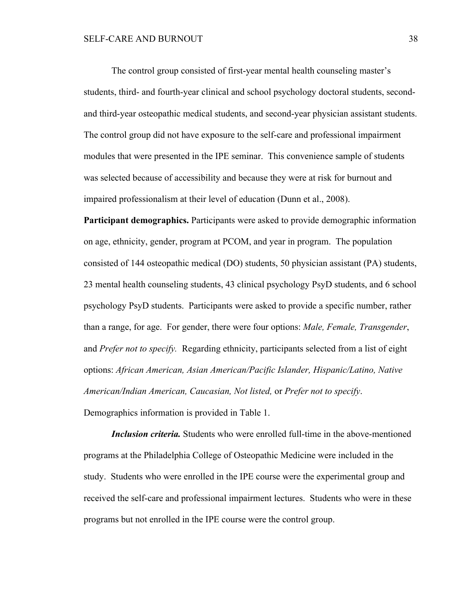The control group consisted of first-year mental health counseling master's students, third- and fourth-year clinical and school psychology doctoral students, secondand third-year osteopathic medical students, and second-year physician assistant students. The control group did not have exposure to the self-care and professional impairment modules that were presented in the IPE seminar. This convenience sample of students was selected because of accessibility and because they were at risk for burnout and impaired professionalism at their level of education (Dunn et al., 2008).

**Participant demographics.** Participants were asked to provide demographic information on age, ethnicity, gender, program at PCOM, and year in program. The population consisted of 144 osteopathic medical (DO) students, 50 physician assistant (PA) students, 23 mental health counseling students, 43 clinical psychology PsyD students, and 6 school psychology PsyD students. Participants were asked to provide a specific number, rather than a range, for age. For gender, there were four options: *Male, Female, Transgender*, and *Prefer not to specify.* Regarding ethnicity, participants selected from a list of eight options: *African American, Asian American/Pacific Islander, Hispanic/Latino, Native American/Indian American, Caucasian, Not listed,* or *Prefer not to specify*.

Demographics information is provided in Table 1.

*Inclusion criteria.* Students who were enrolled full-time in the above-mentioned programs at the Philadelphia College of Osteopathic Medicine were included in the study. Students who were enrolled in the IPE course were the experimental group and received the self-care and professional impairment lectures. Students who were in these programs but not enrolled in the IPE course were the control group.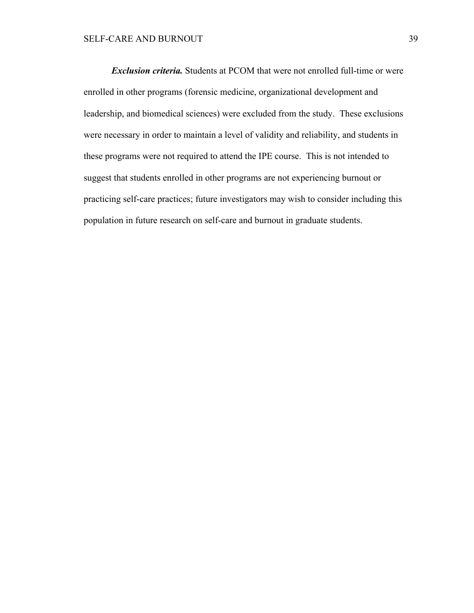*Exclusion criteria.* Students at PCOM that were not enrolled full-time or were enrolled in other programs (forensic medicine, organizational development and leadership, and biomedical sciences) were excluded from the study. These exclusions were necessary in order to maintain a level of validity and reliability, and students in these programs were not required to attend the IPE course. This is not intended to suggest that students enrolled in other programs are not experiencing burnout or practicing self-care practices; future investigators may wish to consider including this population in future research on self-care and burnout in graduate students.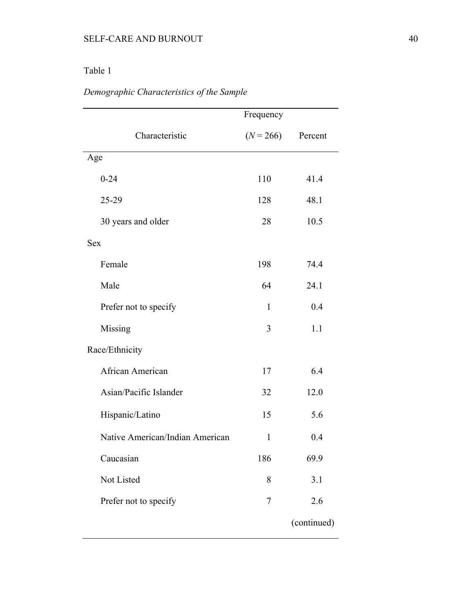# Table 1

| Demographic Characteristics of the Sample |  |  |
|-------------------------------------------|--|--|
|                                           |  |  |

| $(N = 266)$  | Percent     |
|--------------|-------------|
|              |             |
| 110          | 41.4        |
| 128          | 48.1        |
| 28           | 10.5        |
|              |             |
| 198          | 74.4        |
| 64           | 24.1        |
| $\mathbf{1}$ | 0.4         |
| 3            | 1.1         |
|              |             |
| 17           | 6.4         |
| 32           | 12.0        |
| 15           | 5.6         |
| $\mathbf{1}$ | 0.4         |
| 186          | 69.9        |
| 8            | 3.1         |
| 7            | 2.6         |
|              | (continued) |
|              |             |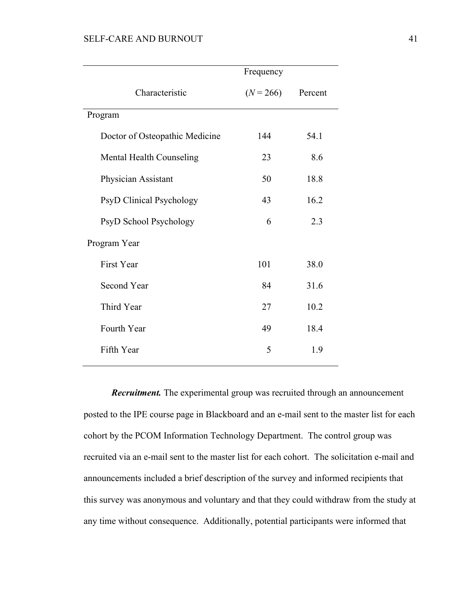# SELF-CARE AND BURNOUT 41

|                                 | Frequency   |         |
|---------------------------------|-------------|---------|
| Characteristic                  | $(N = 266)$ | Percent |
| Program                         |             |         |
| Doctor of Osteopathic Medicine  | 144         | 54.1    |
| Mental Health Counseling        | 23          | 8.6     |
| Physician Assistant             | 50          | 18.8    |
| <b>PsyD Clinical Psychology</b> | 43          | 16.2    |
| PsyD School Psychology          | 6           | 2.3     |
| Program Year                    |             |         |
| <b>First Year</b>               | 101         | 38.0    |
| Second Year                     | 84          | 31.6    |
| Third Year                      | 27          | 10.2    |
| Fourth Year                     | 49          | 18.4    |
| Fifth Year                      | 5           | 1.9     |

*Recruitment.* The experimental group was recruited through an announcement posted to the IPE course page in Blackboard and an e-mail sent to the master list for each cohort by the PCOM Information Technology Department. The control group was recruited via an e-mail sent to the master list for each cohort. The solicitation e-mail and announcements included a brief description of the survey and informed recipients that this survey was anonymous and voluntary and that they could withdraw from the study at any time without consequence. Additionally, potential participants were informed that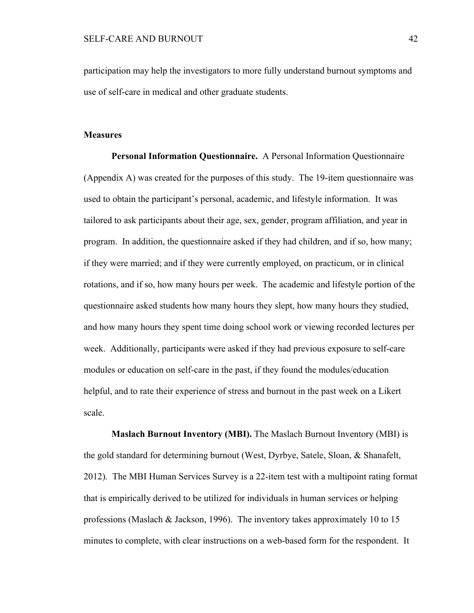participation may help the investigators to more fully understand burnout symptoms and use of self-care in medical and other graduate students.

#### **Measures**

**Personal Information Questionnaire.** A Personal Information Questionnaire (Appendix A) was created for the purposes of this study. The 19-item questionnaire was used to obtain the participant's personal, academic, and lifestyle information. It was tailored to ask participants about their age, sex, gender, program affiliation, and year in program. In addition, the questionnaire asked if they had children, and if so, how many; if they were married; and if they were currently employed, on practicum, or in clinical rotations, and if so, how many hours per week. The academic and lifestyle portion of the questionnaire asked students how many hours they slept, how many hours they studied, and how many hours they spent time doing school work or viewing recorded lectures per week. Additionally, participants were asked if they had previous exposure to self-care modules or education on self-care in the past, if they found the modules/education helpful, and to rate their experience of stress and burnout in the past week on a Likert scale.

**Maslach Burnout Inventory (MBI).** The Maslach Burnout Inventory (MBI) is the gold standard for determining burnout (West, Dyrbye, Satele, Sloan, & Shanafelt, 2012). The MBI Human Services Survey is a 22-item test with a multipoint rating format that is empirically derived to be utilized for individuals in human services or helping professions (Maslach & Jackson, 1996). The inventory takes approximately 10 to 15 minutes to complete, with clear instructions on a web-based form for the respondent. It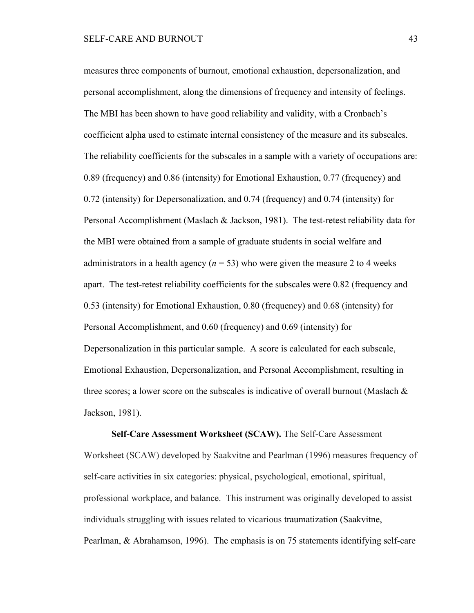measures three components of burnout, emotional exhaustion, depersonalization, and personal accomplishment, along the dimensions of frequency and intensity of feelings. The MBI has been shown to have good reliability and validity, with a Cronbach's coefficient alpha used to estimate internal consistency of the measure and its subscales. The reliability coefficients for the subscales in a sample with a variety of occupations are: 0.89 (frequency) and 0.86 (intensity) for Emotional Exhaustion, 0.77 (frequency) and 0.72 (intensity) for Depersonalization, and 0.74 (frequency) and 0.74 (intensity) for Personal Accomplishment (Maslach & Jackson, 1981). The test-retest reliability data for the MBI were obtained from a sample of graduate students in social welfare and administrators in a health agency ( $n = 53$ ) who were given the measure 2 to 4 weeks apart. The test-retest reliability coefficients for the subscales were 0.82 (frequency and 0.53 (intensity) for Emotional Exhaustion, 0.80 (frequency) and 0.68 (intensity) for Personal Accomplishment, and 0.60 (frequency) and 0.69 (intensity) for Depersonalization in this particular sample. A score is calculated for each subscale, Emotional Exhaustion, Depersonalization, and Personal Accomplishment, resulting in three scores; a lower score on the subscales is indicative of overall burnout (Maslach & Jackson, 1981).

**Self-Care Assessment Worksheet (SCAW).** The Self-Care Assessment Worksheet (SCAW) developed by Saakvitne and Pearlman (1996) measures frequency of self-care activities in six categories: physical, psychological, emotional, spiritual, professional workplace, and balance. This instrument was originally developed to assist individuals struggling with issues related to vicarious traumatization (Saakvitne, Pearlman, & Abrahamson, 1996). The emphasis is on 75 statements identifying self-care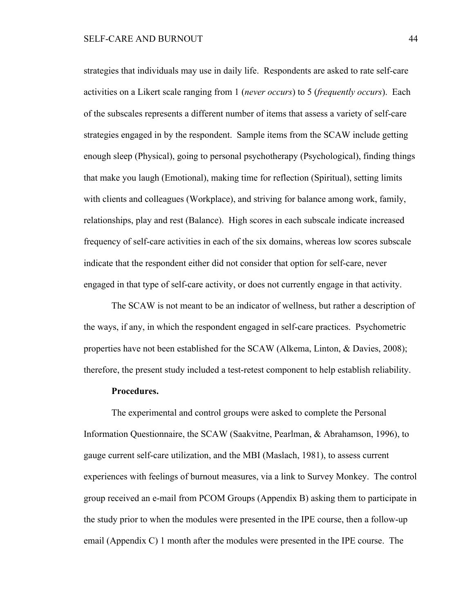strategies that individuals may use in daily life. Respondents are asked to rate self-care activities on a Likert scale ranging from 1 (*never occurs*) to 5 (*frequently occurs*). Each of the subscales represents a different number of items that assess a variety of self-care strategies engaged in by the respondent. Sample items from the SCAW include getting enough sleep (Physical), going to personal psychotherapy (Psychological), finding things that make you laugh (Emotional), making time for reflection (Spiritual), setting limits with clients and colleagues (Workplace), and striving for balance among work, family, relationships, play and rest (Balance). High scores in each subscale indicate increased frequency of self-care activities in each of the six domains, whereas low scores subscale indicate that the respondent either did not consider that option for self-care, never engaged in that type of self-care activity, or does not currently engage in that activity.

The SCAW is not meant to be an indicator of wellness, but rather a description of the ways, if any, in which the respondent engaged in self-care practices. Psychometric properties have not been established for the SCAW (Alkema, Linton, & Davies, 2008); therefore, the present study included a test-retest component to help establish reliability.

#### **Procedures.**

The experimental and control groups were asked to complete the Personal Information Questionnaire, the SCAW (Saakvitne, Pearlman, & Abrahamson, 1996), to gauge current self-care utilization, and the MBI (Maslach, 1981), to assess current experiences with feelings of burnout measures, via a link to Survey Monkey. The control group received an e-mail from PCOM Groups (Appendix B) asking them to participate in the study prior to when the modules were presented in the IPE course, then a follow-up email (Appendix C) 1 month after the modules were presented in the IPE course. The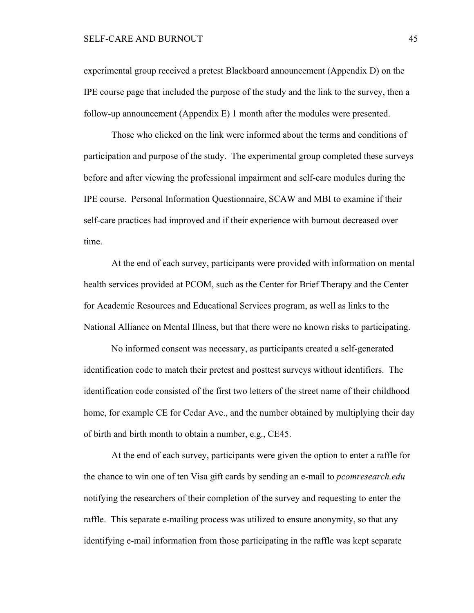experimental group received a pretest Blackboard announcement (Appendix D) on the IPE course page that included the purpose of the study and the link to the survey, then a follow-up announcement (Appendix E) 1 month after the modules were presented.

Those who clicked on the link were informed about the terms and conditions of participation and purpose of the study. The experimental group completed these surveys before and after viewing the professional impairment and self-care modules during the IPE course. Personal Information Questionnaire, SCAW and MBI to examine if their self-care practices had improved and if their experience with burnout decreased over time.

At the end of each survey, participants were provided with information on mental health services provided at PCOM, such as the Center for Brief Therapy and the Center for Academic Resources and Educational Services program, as well as links to the National Alliance on Mental Illness, but that there were no known risks to participating.

No informed consent was necessary, as participants created a self-generated identification code to match their pretest and posttest surveys without identifiers. The identification code consisted of the first two letters of the street name of their childhood home, for example CE for Cedar Ave., and the number obtained by multiplying their day of birth and birth month to obtain a number, e.g., CE45.

At the end of each survey, participants were given the option to enter a raffle for the chance to win one of ten Visa gift cards by sending an e-mail to *pcomresearch.edu*  notifying the researchers of their completion of the survey and requesting to enter the raffle. This separate e-mailing process was utilized to ensure anonymity, so that any identifying e-mail information from those participating in the raffle was kept separate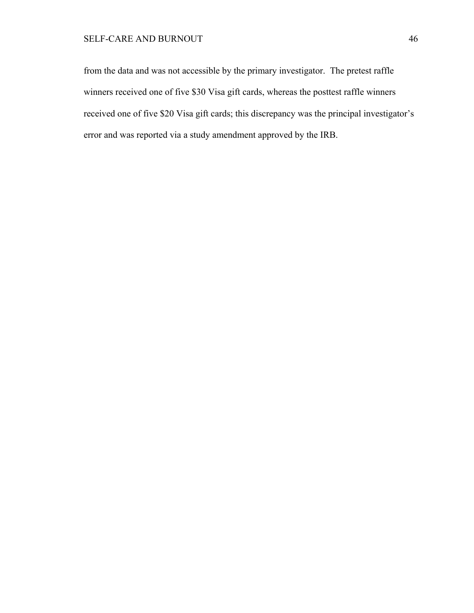from the data and was not accessible by the primary investigator. The pretest raffle winners received one of five \$30 Visa gift cards, whereas the posttest raffle winners received one of five \$20 Visa gift cards; this discrepancy was the principal investigator's error and was reported via a study amendment approved by the IRB.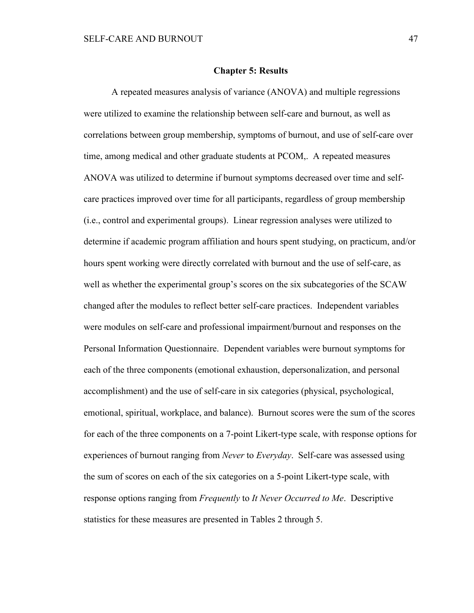#### **Chapter 5: Results**

A repeated measures analysis of variance (ANOVA) and multiple regressions were utilized to examine the relationship between self-care and burnout, as well as correlations between group membership, symptoms of burnout, and use of self-care over time, among medical and other graduate students at PCOM,. A repeated measures ANOVA was utilized to determine if burnout symptoms decreased over time and selfcare practices improved over time for all participants, regardless of group membership (i.e., control and experimental groups). Linear regression analyses were utilized to determine if academic program affiliation and hours spent studying, on practicum, and/or hours spent working were directly correlated with burnout and the use of self-care, as well as whether the experimental group's scores on the six subcategories of the SCAW changed after the modules to reflect better self-care practices. Independent variables were modules on self-care and professional impairment/burnout and responses on the Personal Information Questionnaire. Dependent variables were burnout symptoms for each of the three components (emotional exhaustion, depersonalization, and personal accomplishment) and the use of self-care in six categories (physical, psychological, emotional, spiritual, workplace, and balance). Burnout scores were the sum of the scores for each of the three components on a 7-point Likert-type scale, with response options for experiences of burnout ranging from *Never* to *Everyday*. Self-care was assessed using the sum of scores on each of the six categories on a 5-point Likert-type scale, with response options ranging from *Frequently* to *It Never Occurred to Me*. Descriptive statistics for these measures are presented in Tables 2 through 5.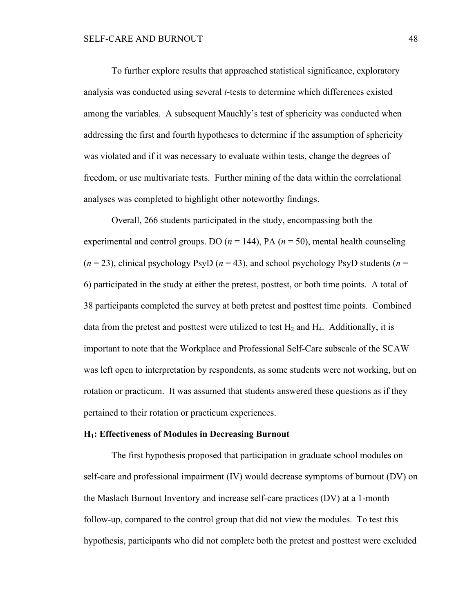To further explore results that approached statistical significance, exploratory analysis was conducted using several *t*-tests to determine which differences existed among the variables. A subsequent Mauchly's test of sphericity was conducted when addressing the first and fourth hypotheses to determine if the assumption of sphericity was violated and if it was necessary to evaluate within tests, change the degrees of freedom, or use multivariate tests. Further mining of the data within the correlational analyses was completed to highlight other noteworthy findings.

Overall, 266 students participated in the study, encompassing both the experimental and control groups. DO  $(n = 144)$ , PA  $(n = 50)$ , mental health counseling  $(n = 23)$ , clinical psychology PsyD  $(n = 43)$ , and school psychology PsyD students  $(n = 23)$ 6) participated in the study at either the pretest, posttest, or both time points. A total of 38 participants completed the survey at both pretest and posttest time points. Combined data from the pretest and posttest were utilized to test  $H_2$  and  $H_4$ . Additionally, it is important to note that the Workplace and Professional Self-Care subscale of the SCAW was left open to interpretation by respondents, as some students were not working, but on rotation or practicum. It was assumed that students answered these questions as if they pertained to their rotation or practicum experiences.

## **H1: Effectiveness of Modules in Decreasing Burnout**

The first hypothesis proposed that participation in graduate school modules on self-care and professional impairment (IV) would decrease symptoms of burnout (DV) on the Maslach Burnout Inventory and increase self-care practices (DV) at a 1-month follow-up, compared to the control group that did not view the modules. To test this hypothesis, participants who did not complete both the pretest and posttest were excluded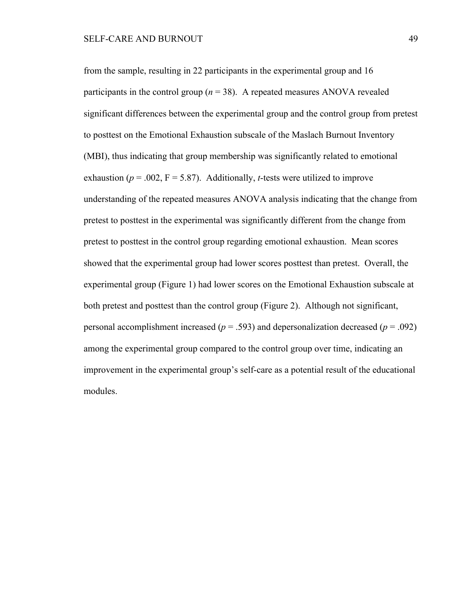from the sample, resulting in 22 participants in the experimental group and 16 participants in the control group ( $n = 38$ ). A repeated measures ANOVA revealed significant differences between the experimental group and the control group from pretest to posttest on the Emotional Exhaustion subscale of the Maslach Burnout Inventory (MBI), thus indicating that group membership was significantly related to emotional exhaustion ( $p = .002$ ,  $F = 5.87$ ). Additionally, *t*-tests were utilized to improve understanding of the repeated measures ANOVA analysis indicating that the change from pretest to posttest in the experimental was significantly different from the change from pretest to posttest in the control group regarding emotional exhaustion. Mean scores showed that the experimental group had lower scores posttest than pretest. Overall, the experimental group (Figure 1) had lower scores on the Emotional Exhaustion subscale at both pretest and posttest than the control group (Figure 2). Although not significant, personal accomplishment increased ( $p = .593$ ) and depersonalization decreased ( $p = .092$ ) among the experimental group compared to the control group over time, indicating an improvement in the experimental group's self-care as a potential result of the educational modules.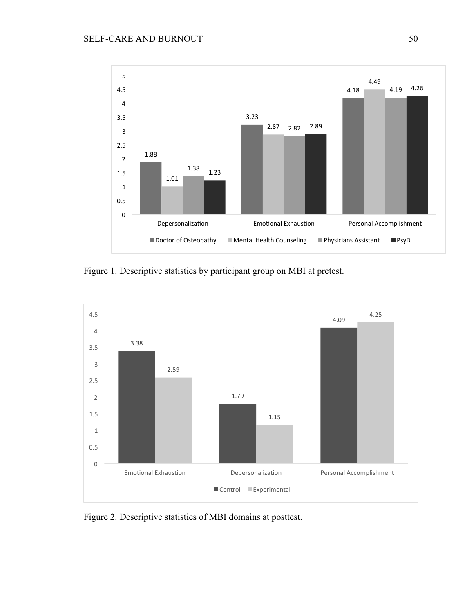

Figure 1. Descriptive statistics by participant group on MBI at pretest.



Figure 2. Descriptive statistics of MBI domains at posttest.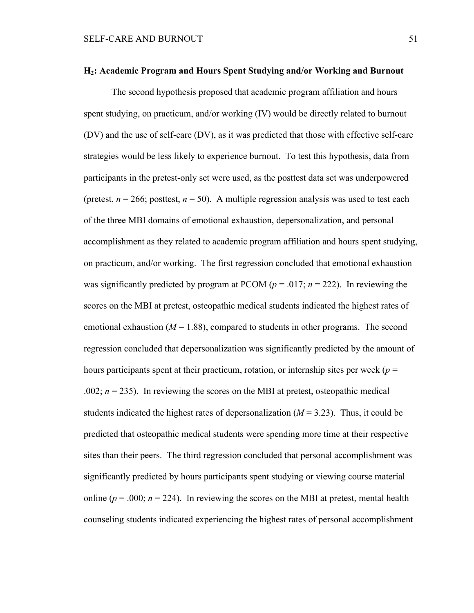#### **H2: Academic Program and Hours Spent Studying and/or Working and Burnout**

The second hypothesis proposed that academic program affiliation and hours spent studying, on practicum, and/or working (IV) would be directly related to burnout (DV) and the use of self-care (DV), as it was predicted that those with effective self-care strategies would be less likely to experience burnout. To test this hypothesis, data from participants in the pretest-only set were used, as the posttest data set was underpowered (pretest,  $n = 266$ ; posttest,  $n = 50$ ). A multiple regression analysis was used to test each of the three MBI domains of emotional exhaustion, depersonalization, and personal accomplishment as they related to academic program affiliation and hours spent studying, on practicum, and/or working. The first regression concluded that emotional exhaustion was significantly predicted by program at PCOM (*p* = .017; *n* = 222). In reviewing the scores on the MBI at pretest, osteopathic medical students indicated the highest rates of emotional exhaustion  $(M = 1.88)$ , compared to students in other programs. The second regression concluded that depersonalization was significantly predicted by the amount of hours participants spent at their practicum, rotation, or internship sites per week ( $p =$ .002;  $n = 235$ ). In reviewing the scores on the MBI at pretest, osteopathic medical students indicated the highest rates of depersonalization  $(M = 3.23)$ . Thus, it could be predicted that osteopathic medical students were spending more time at their respective sites than their peers. The third regression concluded that personal accomplishment was significantly predicted by hours participants spent studying or viewing course material online ( $p = .000$ ;  $n = 224$ ). In reviewing the scores on the MBI at pretest, mental health counseling students indicated experiencing the highest rates of personal accomplishment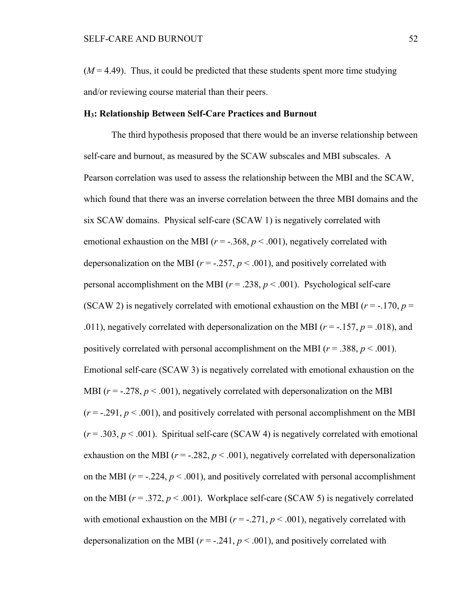$(M = 4.49)$ . Thus, it could be predicted that these students spent more time studying and/or reviewing course material than their peers.

#### **H3: Relationship Between Self-Care Practices and Burnout**

The third hypothesis proposed that there would be an inverse relationship between self-care and burnout, as measured by the SCAW subscales and MBI subscales. A Pearson correlation was used to assess the relationship between the MBI and the SCAW, which found that there was an inverse correlation between the three MBI domains and the six SCAW domains. Physical self-care (SCAW 1) is negatively correlated with emotional exhaustion on the MBI ( $r = -0.368$ ,  $p < 0.001$ ), negatively correlated with depersonalization on the MBI ( $r = -.257$ ,  $p < .001$ ), and positively correlated with personal accomplishment on the MBI ( $r = .238$ ,  $p < .001$ ). Psychological self-care (SCAW 2) is negatively correlated with emotional exhaustion on the MBI ( $r = -170$ ,  $p =$ .011), negatively correlated with depersonalization on the MBI ( $r = -157$ ,  $p = .018$ ), and positively correlated with personal accomplishment on the MBI ( $r = .388$ ,  $p < .001$ ). Emotional self-care (SCAW 3) is negatively correlated with emotional exhaustion on the MBI  $(r = -.278, p < .001)$ , negatively correlated with depersonalization on the MBI  $(r = -0.291, p < 0.001)$ , and positively correlated with personal accomplishment on the MBI  $(r = .303, p < .001)$ . Spiritual self-care (SCAW 4) is negatively correlated with emotional exhaustion on the MBI ( $r = -0.282$ ,  $p < 0.001$ ), negatively correlated with depersonalization on the MBI  $(r = -0.224, p < 0.001)$ , and positively correlated with personal accomplishment on the MBI ( $r = .372$ ,  $p < .001$ ). Workplace self-care (SCAW 5) is negatively correlated with emotional exhaustion on the MBI  $(r = -.271, p < .001)$ , negatively correlated with depersonalization on the MBI  $(r = -.241, p < .001)$ , and positively correlated with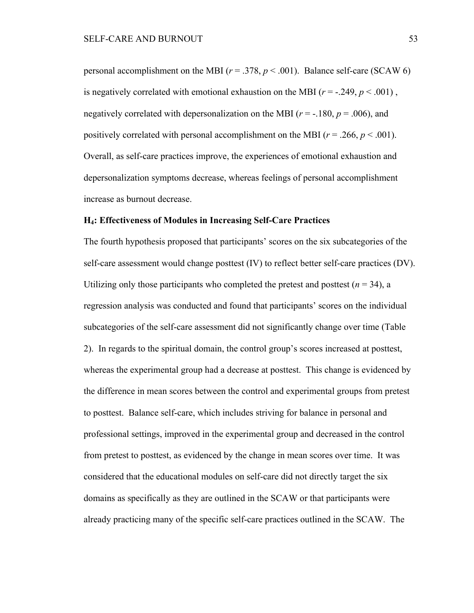personal accomplishment on the MBI ( $r = .378$ ,  $p < .001$ ). Balance self-care (SCAW 6) is negatively correlated with emotional exhaustion on the MBI  $(r = -0.249, p < 0.001)$ , negatively correlated with depersonalization on the MBI ( $r = -180$ ,  $p = .006$ ), and positively correlated with personal accomplishment on the MBI ( $r = .266$ ,  $p < .001$ ). Overall, as self-care practices improve, the experiences of emotional exhaustion and depersonalization symptoms decrease, whereas feelings of personal accomplishment increase as burnout decrease.

### **H4: Effectiveness of Modules in Increasing Self-Care Practices**

The fourth hypothesis proposed that participants' scores on the six subcategories of the self-care assessment would change posttest (IV) to reflect better self-care practices (DV). Utilizing only those participants who completed the pretest and posttest  $(n = 34)$ , a regression analysis was conducted and found that participants' scores on the individual subcategories of the self-care assessment did not significantly change over time (Table 2). In regards to the spiritual domain, the control group's scores increased at posttest, whereas the experimental group had a decrease at posttest. This change is evidenced by the difference in mean scores between the control and experimental groups from pretest to posttest. Balance self-care, which includes striving for balance in personal and professional settings, improved in the experimental group and decreased in the control from pretest to posttest, as evidenced by the change in mean scores over time. It was considered that the educational modules on self-care did not directly target the six domains as specifically as they are outlined in the SCAW or that participants were already practicing many of the specific self-care practices outlined in the SCAW. The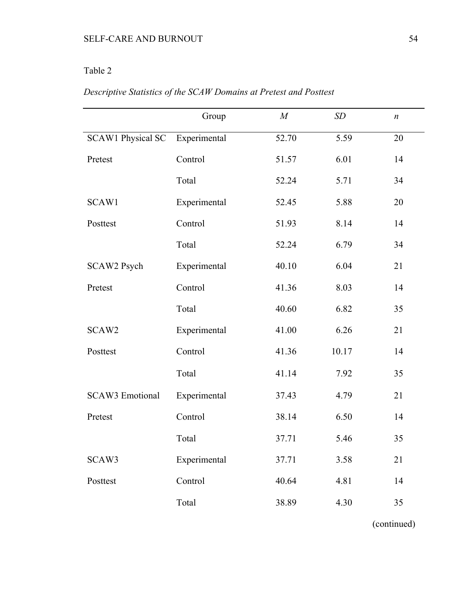# Table 2

|                          | Group        | M     | SD    | $\boldsymbol{n}$ |
|--------------------------|--------------|-------|-------|------------------|
| <b>SCAW1 Physical SC</b> | Experimental | 52.70 | 5.59  | 20               |
| Pretest                  | Control      | 51.57 | 6.01  | 14               |
|                          | Total        | 52.24 | 5.71  | 34               |
| SCAW1                    | Experimental | 52.45 | 5.88  | 20               |
| Posttest                 | Control      | 51.93 | 8.14  | 14               |
|                          | Total        | 52.24 | 6.79  | 34               |
| SCAW2 Psych              | Experimental | 40.10 | 6.04  | 21               |
| Pretest                  | Control      | 41.36 | 8.03  | 14               |
|                          | Total        | 40.60 | 6.82  | 35               |
| SCAW2                    | Experimental | 41.00 | 6.26  | 21               |
| Posttest                 | Control      | 41.36 | 10.17 | 14               |
|                          | Total        | 41.14 | 7.92  | 35               |
| <b>SCAW3</b> Emotional   | Experimental | 37.43 | 4.79  | 21               |
| Pretest                  | Control      | 38.14 | 6.50  | 14               |
|                          | Total        | 37.71 | 5.46  | 35               |
| SCAW3                    | Experimental | 37.71 | 3.58  | 21               |
| Posttest                 | Control      | 40.64 | 4.81  | 14               |
|                          | Total        | 38.89 | 4.30  | 35               |

# *Descriptive Statistics of the SCAW Domains at Pretest and Posttest*

(continued)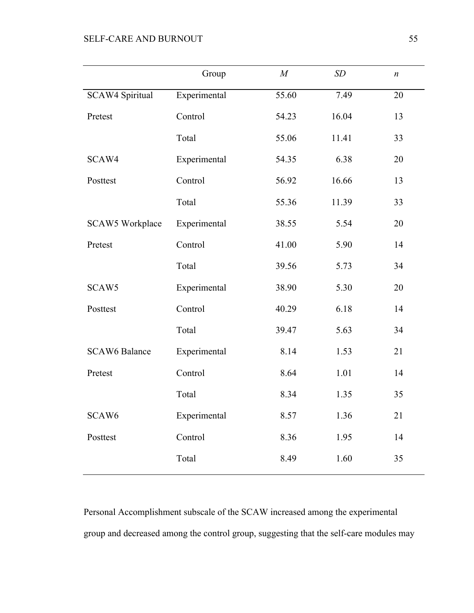|                        | Group        | $\boldsymbol{M}$ | SD    | $\boldsymbol{n}$ |
|------------------------|--------------|------------------|-------|------------------|
| <b>SCAW4 Spiritual</b> | Experimental | 55.60            | 7.49  | 20               |
| Pretest                | Control      | 54.23            | 16.04 | 13               |
|                        | Total        | 55.06            | 11.41 | 33               |
| SCAW4                  | Experimental | 54.35            | 6.38  | 20               |
| Posttest               | Control      | 56.92            | 16.66 | 13               |
|                        | Total        | 55.36            | 11.39 | 33               |
| SCAW5 Workplace        | Experimental | 38.55            | 5.54  | 20               |
| Pretest                | Control      | 41.00            | 5.90  | 14               |
|                        | Total        | 39.56            | 5.73  | 34               |
| SCAW5                  | Experimental | 38.90            | 5.30  | 20               |
| Posttest               | Control      | 40.29            | 6.18  | 14               |
|                        | Total        | 39.47            | 5.63  | 34               |
| <b>SCAW6 Balance</b>   | Experimental | 8.14             | 1.53  | 21               |
| Pretest                | Control      | 8.64             | 1.01  | 14               |
|                        | Total        | 8.34             | 1.35  | 35               |
| SCAW <sub>6</sub>      | Experimental | 8.57             | 1.36  | 21               |
| Posttest               | Control      | 8.36             | 1.95  | 14               |
|                        | Total        | 8.49             | 1.60  | 35               |
|                        |              |                  |       |                  |

Personal Accomplishment subscale of the SCAW increased among the experimental group and decreased among the control group, suggesting that the self-care modules may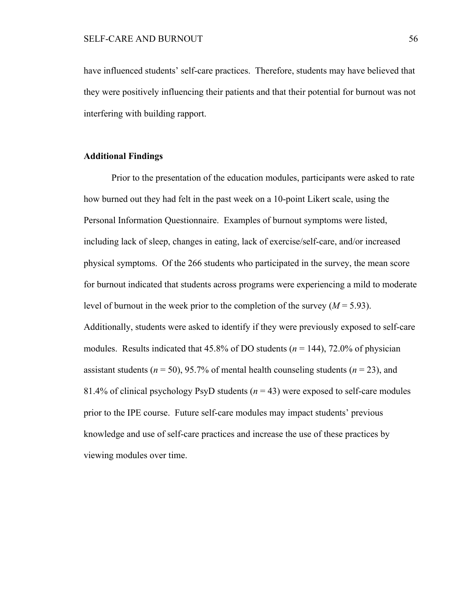have influenced students' self-care practices. Therefore, students may have believed that they were positively influencing their patients and that their potential for burnout was not interfering with building rapport.

## **Additional Findings**

Prior to the presentation of the education modules, participants were asked to rate how burned out they had felt in the past week on a 10-point Likert scale, using the Personal Information Questionnaire. Examples of burnout symptoms were listed, including lack of sleep, changes in eating, lack of exercise/self-care, and/or increased physical symptoms. Of the 266 students who participated in the survey, the mean score for burnout indicated that students across programs were experiencing a mild to moderate level of burnout in the week prior to the completion of the survey  $(M = 5.93)$ . Additionally, students were asked to identify if they were previously exposed to self-care modules. Results indicated that 45.8% of DO students (*n* = 144), 72.0% of physician assistant students ( $n = 50$ ), 95.7% of mental health counseling students ( $n = 23$ ), and 81.4% of clinical psychology PsyD students (*n* = 43) were exposed to self-care modules prior to the IPE course. Future self-care modules may impact students' previous knowledge and use of self-care practices and increase the use of these practices by viewing modules over time.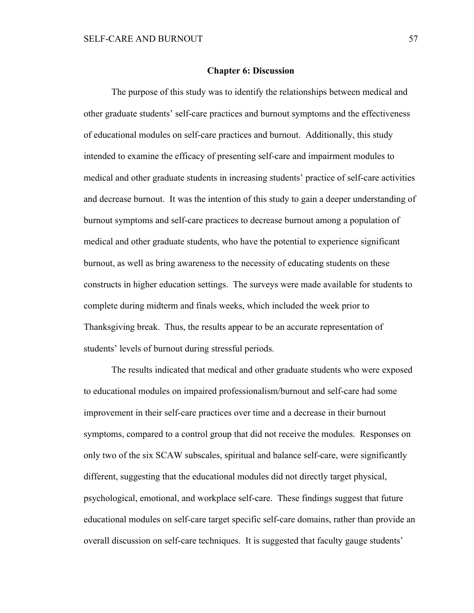#### **Chapter 6: Discussion**

The purpose of this study was to identify the relationships between medical and other graduate students' self-care practices and burnout symptoms and the effectiveness of educational modules on self-care practices and burnout. Additionally, this study intended to examine the efficacy of presenting self-care and impairment modules to medical and other graduate students in increasing students' practice of self-care activities and decrease burnout. It was the intention of this study to gain a deeper understanding of burnout symptoms and self-care practices to decrease burnout among a population of medical and other graduate students, who have the potential to experience significant burnout, as well as bring awareness to the necessity of educating students on these constructs in higher education settings. The surveys were made available for students to complete during midterm and finals weeks, which included the week prior to Thanksgiving break. Thus, the results appear to be an accurate representation of students' levels of burnout during stressful periods.

The results indicated that medical and other graduate students who were exposed to educational modules on impaired professionalism/burnout and self-care had some improvement in their self-care practices over time and a decrease in their burnout symptoms, compared to a control group that did not receive the modules. Responses on only two of the six SCAW subscales, spiritual and balance self-care, were significantly different, suggesting that the educational modules did not directly target physical, psychological, emotional, and workplace self-care. These findings suggest that future educational modules on self-care target specific self-care domains, rather than provide an overall discussion on self-care techniques. It is suggested that faculty gauge students'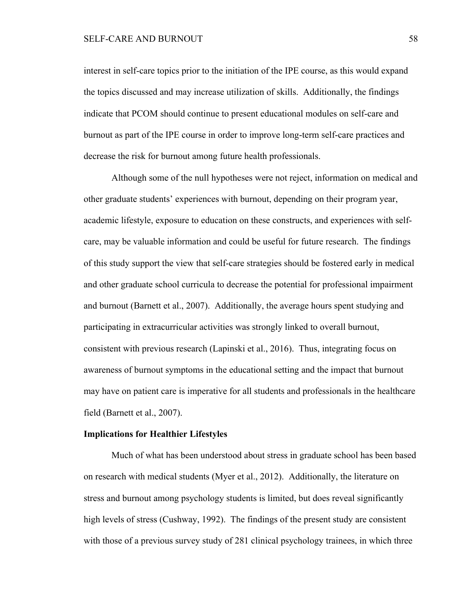interest in self-care topics prior to the initiation of the IPE course, as this would expand the topics discussed and may increase utilization of skills. Additionally, the findings indicate that PCOM should continue to present educational modules on self-care and burnout as part of the IPE course in order to improve long-term self-care practices and decrease the risk for burnout among future health professionals.

Although some of the null hypotheses were not reject, information on medical and other graduate students' experiences with burnout, depending on their program year, academic lifestyle, exposure to education on these constructs, and experiences with selfcare, may be valuable information and could be useful for future research. The findings of this study support the view that self-care strategies should be fostered early in medical and other graduate school curricula to decrease the potential for professional impairment and burnout (Barnett et al., 2007). Additionally, the average hours spent studying and participating in extracurricular activities was strongly linked to overall burnout, consistent with previous research (Lapinski et al., 2016). Thus, integrating focus on awareness of burnout symptoms in the educational setting and the impact that burnout may have on patient care is imperative for all students and professionals in the healthcare field (Barnett et al., 2007).

# **Implications for Healthier Lifestyles**

Much of what has been understood about stress in graduate school has been based on research with medical students (Myer et al., 2012). Additionally, the literature on stress and burnout among psychology students is limited, but does reveal significantly high levels of stress (Cushway, 1992). The findings of the present study are consistent with those of a previous survey study of 281 clinical psychology trainees, in which three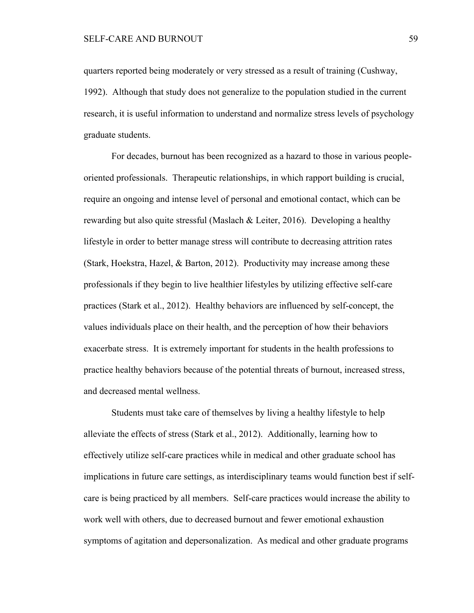quarters reported being moderately or very stressed as a result of training (Cushway, 1992). Although that study does not generalize to the population studied in the current research, it is useful information to understand and normalize stress levels of psychology graduate students.

For decades, burnout has been recognized as a hazard to those in various peopleoriented professionals. Therapeutic relationships, in which rapport building is crucial, require an ongoing and intense level of personal and emotional contact, which can be rewarding but also quite stressful (Maslach & Leiter, 2016). Developing a healthy lifestyle in order to better manage stress will contribute to decreasing attrition rates (Stark, Hoekstra, Hazel, & Barton, 2012). Productivity may increase among these professionals if they begin to live healthier lifestyles by utilizing effective self-care practices (Stark et al., 2012). Healthy behaviors are influenced by self-concept, the values individuals place on their health, and the perception of how their behaviors exacerbate stress. It is extremely important for students in the health professions to practice healthy behaviors because of the potential threats of burnout, increased stress, and decreased mental wellness.

Students must take care of themselves by living a healthy lifestyle to help alleviate the effects of stress (Stark et al., 2012). Additionally, learning how to effectively utilize self-care practices while in medical and other graduate school has implications in future care settings, as interdisciplinary teams would function best if selfcare is being practiced by all members. Self-care practices would increase the ability to work well with others, due to decreased burnout and fewer emotional exhaustion symptoms of agitation and depersonalization. As medical and other graduate programs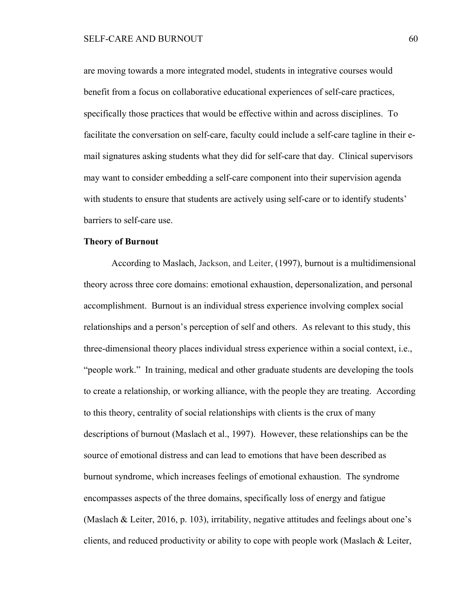are moving towards a more integrated model, students in integrative courses would benefit from a focus on collaborative educational experiences of self-care practices, specifically those practices that would be effective within and across disciplines. To facilitate the conversation on self-care, faculty could include a self-care tagline in their email signatures asking students what they did for self-care that day. Clinical supervisors may want to consider embedding a self-care component into their supervision agenda with students to ensure that students are actively using self-care or to identify students' barriers to self-care use.

## **Theory of Burnout**

According to Maslach, Jackson, and Leiter, (1997), burnout is a multidimensional theory across three core domains: emotional exhaustion, depersonalization, and personal accomplishment. Burnout is an individual stress experience involving complex social relationships and a person's perception of self and others. As relevant to this study, this three-dimensional theory places individual stress experience within a social context, i.e., "people work." In training, medical and other graduate students are developing the tools to create a relationship, or working alliance, with the people they are treating. According to this theory, centrality of social relationships with clients is the crux of many descriptions of burnout (Maslach et al., 1997). However, these relationships can be the source of emotional distress and can lead to emotions that have been described as burnout syndrome, which increases feelings of emotional exhaustion. The syndrome encompasses aspects of the three domains, specifically loss of energy and fatigue (Maslach & Leiter, 2016, p. 103), irritability, negative attitudes and feelings about one's clients, and reduced productivity or ability to cope with people work (Maslach & Leiter,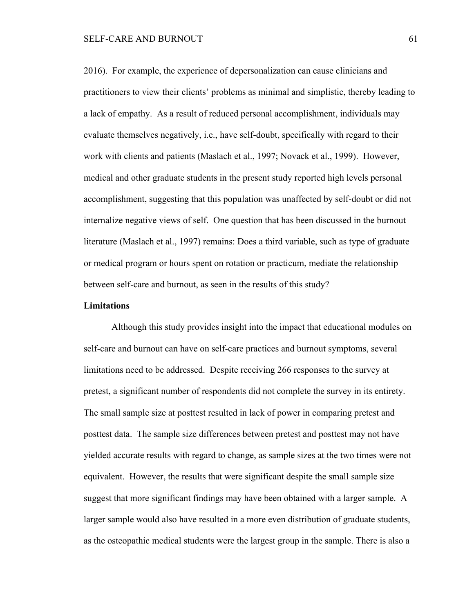2016). For example, the experience of depersonalization can cause clinicians and practitioners to view their clients' problems as minimal and simplistic, thereby leading to a lack of empathy. As a result of reduced personal accomplishment, individuals may evaluate themselves negatively, i.e., have self-doubt, specifically with regard to their work with clients and patients (Maslach et al., 1997; Novack et al., 1999). However, medical and other graduate students in the present study reported high levels personal accomplishment, suggesting that this population was unaffected by self-doubt or did not internalize negative views of self. One question that has been discussed in the burnout literature (Maslach et al., 1997) remains: Does a third variable, such as type of graduate or medical program or hours spent on rotation or practicum, mediate the relationship between self-care and burnout, as seen in the results of this study?

# **Limitations**

Although this study provides insight into the impact that educational modules on self-care and burnout can have on self-care practices and burnout symptoms, several limitations need to be addressed. Despite receiving 266 responses to the survey at pretest, a significant number of respondents did not complete the survey in its entirety. The small sample size at posttest resulted in lack of power in comparing pretest and posttest data. The sample size differences between pretest and posttest may not have yielded accurate results with regard to change, as sample sizes at the two times were not equivalent. However, the results that were significant despite the small sample size suggest that more significant findings may have been obtained with a larger sample. A larger sample would also have resulted in a more even distribution of graduate students, as the osteopathic medical students were the largest group in the sample. There is also a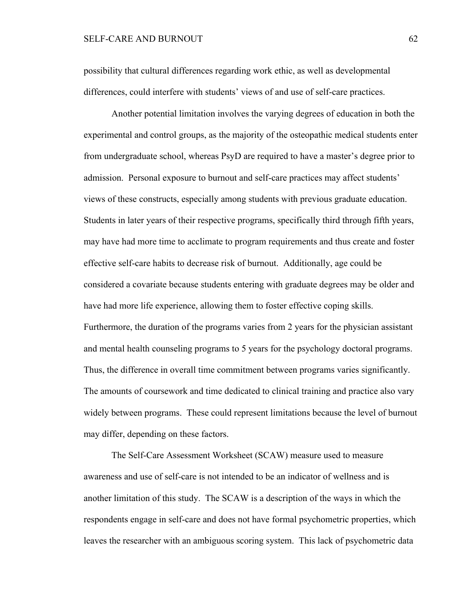# SELF-CARE AND BURNOUT 62

possibility that cultural differences regarding work ethic, as well as developmental differences, could interfere with students' views of and use of self-care practices.

Another potential limitation involves the varying degrees of education in both the experimental and control groups, as the majority of the osteopathic medical students enter from undergraduate school, whereas PsyD are required to have a master's degree prior to admission. Personal exposure to burnout and self-care practices may affect students' views of these constructs, especially among students with previous graduate education. Students in later years of their respective programs, specifically third through fifth years, may have had more time to acclimate to program requirements and thus create and foster effective self-care habits to decrease risk of burnout. Additionally, age could be considered a covariate because students entering with graduate degrees may be older and have had more life experience, allowing them to foster effective coping skills. Furthermore, the duration of the programs varies from 2 years for the physician assistant and mental health counseling programs to 5 years for the psychology doctoral programs. Thus, the difference in overall time commitment between programs varies significantly. The amounts of coursework and time dedicated to clinical training and practice also vary widely between programs. These could represent limitations because the level of burnout may differ, depending on these factors.

The Self-Care Assessment Worksheet (SCAW) measure used to measure awareness and use of self-care is not intended to be an indicator of wellness and is another limitation of this study. The SCAW is a description of the ways in which the respondents engage in self-care and does not have formal psychometric properties, which leaves the researcher with an ambiguous scoring system. This lack of psychometric data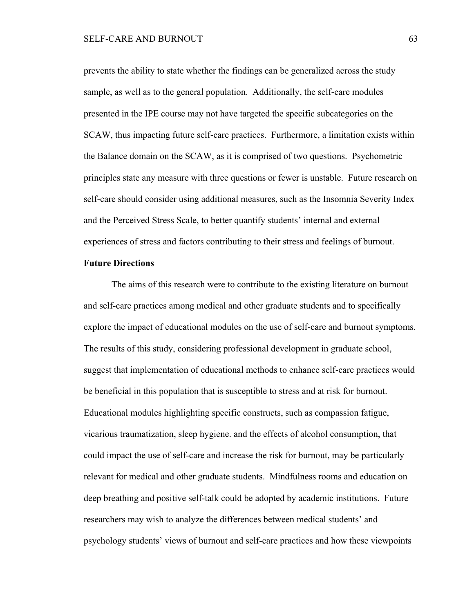prevents the ability to state whether the findings can be generalized across the study sample, as well as to the general population. Additionally, the self-care modules presented in the IPE course may not have targeted the specific subcategories on the SCAW, thus impacting future self-care practices. Furthermore, a limitation exists within the Balance domain on the SCAW, as it is comprised of two questions. Psychometric principles state any measure with three questions or fewer is unstable. Future research on self-care should consider using additional measures, such as the Insomnia Severity Index and the Perceived Stress Scale, to better quantify students' internal and external experiences of stress and factors contributing to their stress and feelings of burnout.

#### **Future Directions**

The aims of this research were to contribute to the existing literature on burnout and self-care practices among medical and other graduate students and to specifically explore the impact of educational modules on the use of self-care and burnout symptoms. The results of this study, considering professional development in graduate school, suggest that implementation of educational methods to enhance self-care practices would be beneficial in this population that is susceptible to stress and at risk for burnout. Educational modules highlighting specific constructs, such as compassion fatigue, vicarious traumatization, sleep hygiene. and the effects of alcohol consumption, that could impact the use of self-care and increase the risk for burnout, may be particularly relevant for medical and other graduate students. Mindfulness rooms and education on deep breathing and positive self-talk could be adopted by academic institutions. Future researchers may wish to analyze the differences between medical students' and psychology students' views of burnout and self-care practices and how these viewpoints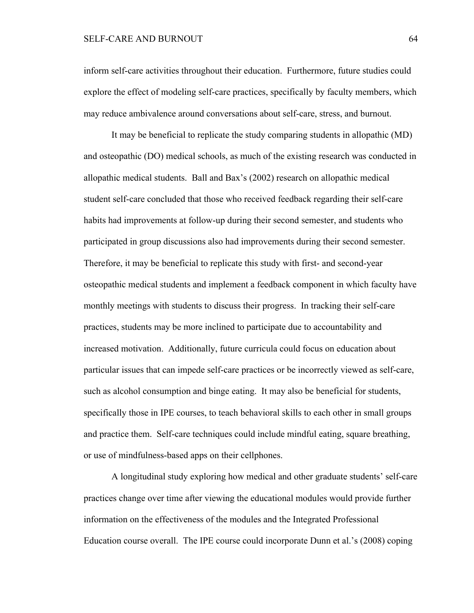# SELF-CARE AND BURNOUT 64

inform self-care activities throughout their education. Furthermore, future studies could explore the effect of modeling self-care practices, specifically by faculty members, which may reduce ambivalence around conversations about self-care, stress, and burnout.

It may be beneficial to replicate the study comparing students in allopathic (MD) and osteopathic (DO) medical schools, as much of the existing research was conducted in allopathic medical students. Ball and Bax's (2002) research on allopathic medical student self-care concluded that those who received feedback regarding their self-care habits had improvements at follow-up during their second semester, and students who participated in group discussions also had improvements during their second semester. Therefore, it may be beneficial to replicate this study with first- and second-year osteopathic medical students and implement a feedback component in which faculty have monthly meetings with students to discuss their progress. In tracking their self-care practices, students may be more inclined to participate due to accountability and increased motivation. Additionally, future curricula could focus on education about particular issues that can impede self-care practices or be incorrectly viewed as self-care, such as alcohol consumption and binge eating. It may also be beneficial for students, specifically those in IPE courses, to teach behavioral skills to each other in small groups and practice them. Self-care techniques could include mindful eating, square breathing, or use of mindfulness-based apps on their cellphones.

A longitudinal study exploring how medical and other graduate students' self-care practices change over time after viewing the educational modules would provide further information on the effectiveness of the modules and the Integrated Professional Education course overall. The IPE course could incorporate Dunn et al.'s (2008) coping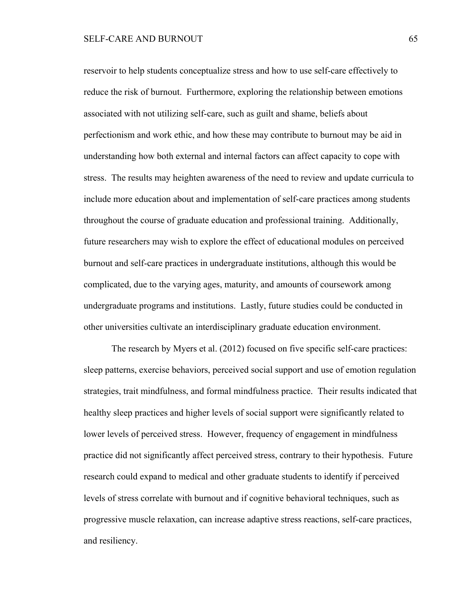reservoir to help students conceptualize stress and how to use self-care effectively to reduce the risk of burnout. Furthermore, exploring the relationship between emotions associated with not utilizing self-care, such as guilt and shame, beliefs about perfectionism and work ethic, and how these may contribute to burnout may be aid in understanding how both external and internal factors can affect capacity to cope with stress. The results may heighten awareness of the need to review and update curricula to include more education about and implementation of self-care practices among students throughout the course of graduate education and professional training. Additionally, future researchers may wish to explore the effect of educational modules on perceived burnout and self-care practices in undergraduate institutions, although this would be complicated, due to the varying ages, maturity, and amounts of coursework among undergraduate programs and institutions. Lastly, future studies could be conducted in other universities cultivate an interdisciplinary graduate education environment.

The research by Myers et al. (2012) focused on five specific self-care practices: sleep patterns, exercise behaviors, perceived social support and use of emotion regulation strategies, trait mindfulness, and formal mindfulness practice. Their results indicated that healthy sleep practices and higher levels of social support were significantly related to lower levels of perceived stress. However, frequency of engagement in mindfulness practice did not significantly affect perceived stress, contrary to their hypothesis. Future research could expand to medical and other graduate students to identify if perceived levels of stress correlate with burnout and if cognitive behavioral techniques, such as progressive muscle relaxation, can increase adaptive stress reactions, self-care practices, and resiliency.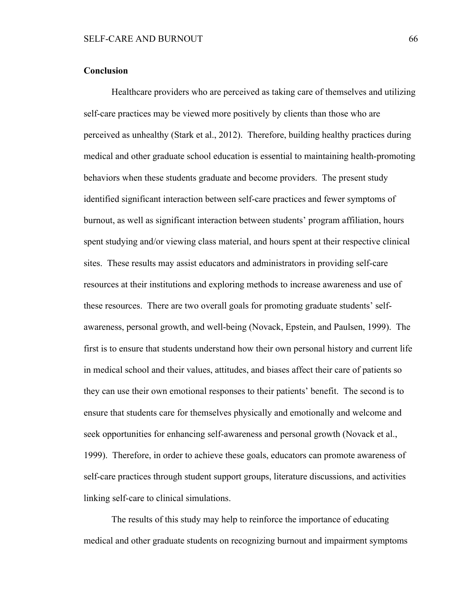#### **Conclusion**

Healthcare providers who are perceived as taking care of themselves and utilizing self-care practices may be viewed more positively by clients than those who are perceived as unhealthy (Stark et al., 2012). Therefore, building healthy practices during medical and other graduate school education is essential to maintaining health-promoting behaviors when these students graduate and become providers. The present study identified significant interaction between self-care practices and fewer symptoms of burnout, as well as significant interaction between students' program affiliation, hours spent studying and/or viewing class material, and hours spent at their respective clinical sites. These results may assist educators and administrators in providing self-care resources at their institutions and exploring methods to increase awareness and use of these resources. There are two overall goals for promoting graduate students' selfawareness, personal growth, and well-being (Novack, Epstein, and Paulsen, 1999). The first is to ensure that students understand how their own personal history and current life in medical school and their values, attitudes, and biases affect their care of patients so they can use their own emotional responses to their patients' benefit. The second is to ensure that students care for themselves physically and emotionally and welcome and seek opportunities for enhancing self-awareness and personal growth (Novack et al., 1999). Therefore, in order to achieve these goals, educators can promote awareness of self-care practices through student support groups, literature discussions, and activities linking self-care to clinical simulations.

The results of this study may help to reinforce the importance of educating medical and other graduate students on recognizing burnout and impairment symptoms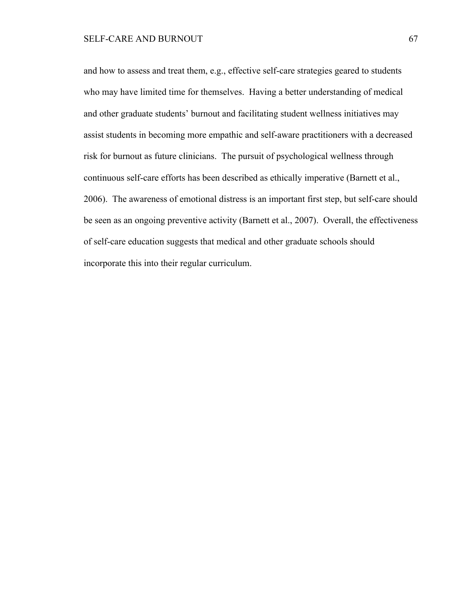and how to assess and treat them, e.g., effective self-care strategies geared to students who may have limited time for themselves. Having a better understanding of medical and other graduate students' burnout and facilitating student wellness initiatives may assist students in becoming more empathic and self-aware practitioners with a decreased risk for burnout as future clinicians. The pursuit of psychological wellness through continuous self-care efforts has been described as ethically imperative (Barnett et al., 2006). The awareness of emotional distress is an important first step, but self-care should be seen as an ongoing preventive activity (Barnett et al., 2007). Overall, the effectiveness of self-care education suggests that medical and other graduate schools should incorporate this into their regular curriculum.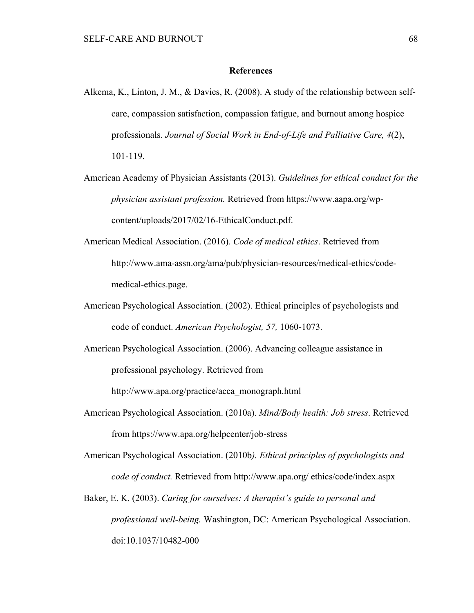#### **References**

- Alkema, K., Linton, J. M., & Davies, R. (2008). A study of the relationship between selfcare, compassion satisfaction, compassion fatigue, and burnout among hospice professionals. *Journal of Social Work in End-of-Life and Palliative Care, 4*(2), 101-119.
- American Academy of Physician Assistants (2013). *Guidelines for ethical conduct for the physician assistant profession.* Retrieved from https://www.aapa.org/wpcontent/uploads/2017/02/16-EthicalConduct.pdf.
- American Medical Association. (2016). *Code of medical ethics*. Retrieved from http://www.ama-assn.org/ama/pub/physician-resources/medical-ethics/codemedical-ethics.page.
- American Psychological Association. (2002). Ethical principles of psychologists and code of conduct. *American Psychologist, 57,* 1060-1073.
- American Psychological Association. (2006). Advancing colleague assistance in professional psychology. Retrieved from

http://www.apa.org/practice/acca\_monograph.html

- American Psychological Association. (2010a). *Mind/Body health: Job stress*. Retrieved from https://www.apa.org/helpcenter/job-stress
- American Psychological Association. (2010b*). Ethical principles of psychologists and code of conduct.* Retrieved from http://www.apa.org/ ethics/code/index.aspx
- Baker, E. K. (2003). *Caring for ourselves: A therapist's guide to personal and professional well-being.* Washington, DC: American Psychological Association. doi:10.1037/10482-000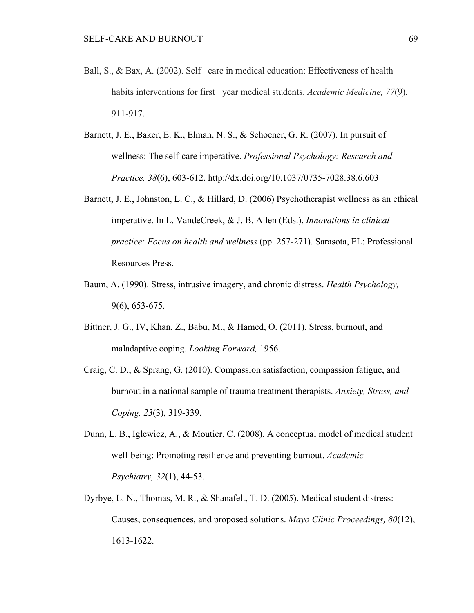- Ball, S., & Bax, A. (2002). Self care in medical education: Effectiveness of health habits interventions for first year medical students. *Academic Medicine*, 77(9), 911-917.
- Barnett, J. E., Baker, E. K., Elman, N. S., & Schoener, G. R. (2007). In pursuit of wellness: The self-care imperative. *Professional Psychology: Research and Practice, 38*(6), 603-612. http://dx.doi.org/10.1037/0735-7028.38.6.603
- Barnett, J. E., Johnston, L. C., & Hillard, D. (2006) Psychotherapist wellness as an ethical imperative. In L. VandeCreek, & J. B. Allen (Eds.), *Innovations in clinical practice: Focus on health and wellness* (pp. 257-271). Sarasota, FL: Professional Resources Press.
- Baum, A. (1990). Stress, intrusive imagery, and chronic distress. *Health Psychology,* 9(6), 653-675.
- Bittner, J. G., IV, Khan, Z., Babu, M., & Hamed, O. (2011). Stress, burnout, and maladaptive coping. *Looking Forward,* 1956.
- Craig, C. D., & Sprang, G. (2010). Compassion satisfaction, compassion fatigue, and burnout in a national sample of trauma treatment therapists. *Anxiety, Stress, and Coping, 23*(3), 319-339.
- Dunn, L. B., Iglewicz, A., & Moutier, C. (2008). A conceptual model of medical student well-being: Promoting resilience and preventing burnout. *Academic Psychiatry, 32*(1), 44-53.
- Dyrbye, L. N., Thomas, M. R., & Shanafelt, T. D. (2005). Medical student distress: Causes, consequences, and proposed solutions. *Mayo Clinic Proceedings, 80*(12), 1613-1622.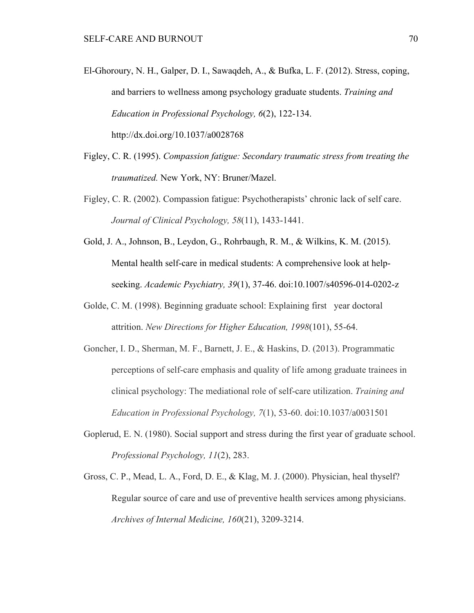- El-Ghoroury, N. H., Galper, D. I., Sawaqdeh, A., & Bufka, L. F. (2012). Stress, coping, and barriers to wellness among psychology graduate students. *Training and Education in Professional Psychology, 6*(2), 122-134. http://dx.doi.org/10.1037/a0028768
- Figley, C. R. (1995). *Compassion fatigue: Secondary traumatic stress from treating the traumatized.* New York, NY: Bruner/Mazel.
- Figley, C. R. (2002). Compassion fatigue: Psychotherapists' chronic lack of self care. *Journal of Clinical Psychology, 58*(11), 1433-1441.
- Gold, J. A., Johnson, B., Leydon, G., Rohrbaugh, R. M., & Wilkins, K. M. (2015). Mental health self-care in medical students: A comprehensive look at helpseeking. *Academic Psychiatry, 39*(1), 37-46. doi:10.1007/s40596-014-0202-z
- Golde, C. M. (1998). Beginning graduate school: Explaining first year doctoral attrition. *New Directions for Higher Education, 1998*(101), 55-64.
- Goncher, I. D., Sherman, M. F., Barnett, J. E., & Haskins, D. (2013). Programmatic perceptions of self-care emphasis and quality of life among graduate trainees in clinical psychology: The mediational role of self-care utilization. *Training and Education in Professional Psychology, 7*(1), 53-60. doi:10.1037/a0031501
- Goplerud, E. N. (1980). Social support and stress during the first year of graduate school. *Professional Psychology, 11*(2), 283.
- Gross, C. P., Mead, L. A., Ford, D. E., & Klag, M. J. (2000). Physician, heal thyself? Regular source of care and use of preventive health services among physicians. *Archives of Internal Medicine, 160*(21), 3209-3214.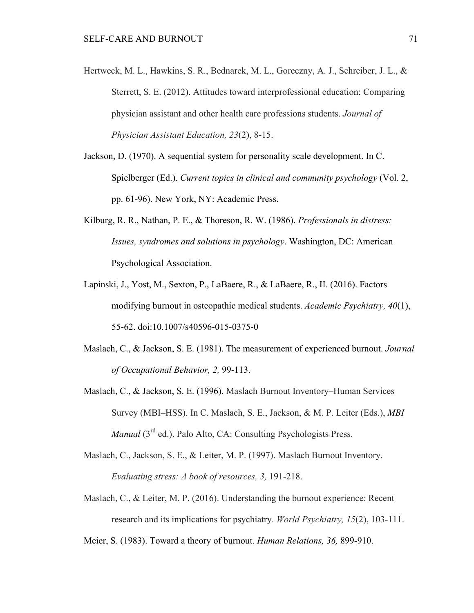- Hertweck, M. L., Hawkins, S. R., Bednarek, M. L., Goreczny, A. J., Schreiber, J. L., & Sterrett, S. E. (2012). Attitudes toward interprofessional education: Comparing physician assistant and other health care professions students. *Journal of Physician Assistant Education, 23*(2), 8-15.
- Jackson, D. (1970). A sequential system for personality scale development. In C. Spielberger (Ed.). *Current topics in clinical and community psychology* (Vol. 2, pp. 61-96). New York, NY: Academic Press.
- Kilburg, R. R., Nathan, P. E., & Thoreson, R. W. (1986). *Professionals in distress: Issues, syndromes and solutions in psychology*. Washington, DC: American Psychological Association.
- Lapinski, J., Yost, M., Sexton, P., LaBaere, R., & LaBaere, R., II. (2016). Factors modifying burnout in osteopathic medical students. *Academic Psychiatry, 40*(1), 55-62. doi:10.1007/s40596-015-0375-0
- Maslach, C., & Jackson, S. E. (1981). The measurement of experienced burnout. *Journal of Occupational Behavior, 2,* 99-113.
- Maslach, C., & Jackson, S. E. (1996). Maslach Burnout Inventory–Human Services Survey (MBI–HSS). In C. Maslach, S. E., Jackson, & M. P. Leiter (Eds.), *MBI Manual* (3<sup>rd</sup> ed.). Palo Alto, CA: Consulting Psychologists Press.
- Maslach, C., Jackson, S. E., & Leiter, M. P. (1997). Maslach Burnout Inventory. *Evaluating stress: A book of resources, 3,* 191-218.
- Maslach, C., & Leiter, M. P. (2016). Understanding the burnout experience: Recent research and its implications for psychiatry. *World Psychiatry, 15*(2), 103-111.

Meier, S. (1983). Toward a theory of burnout. *Human Relations, 36,* 899-910.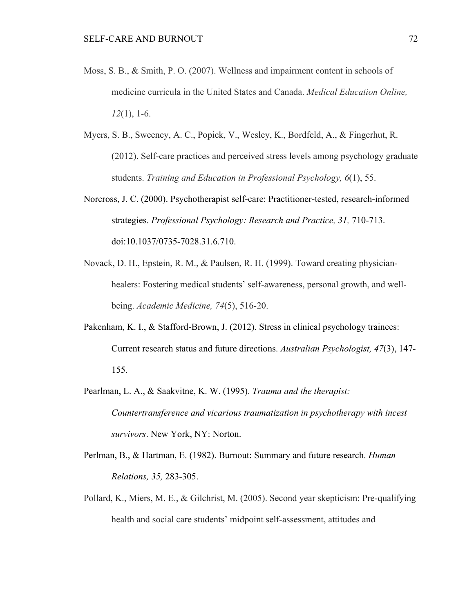- Moss, S. B., & Smith, P. O. (2007). Wellness and impairment content in schools of medicine curricula in the United States and Canada. *Medical Education Online, 12*(1), 1-6.
- Myers, S. B., Sweeney, A. C., Popick, V., Wesley, K., Bordfeld, A., & Fingerhut, R. (2012). Self-care practices and perceived stress levels among psychology graduate students. *Training and Education in Professional Psychology, 6*(1), 55.
- Norcross, J. C. (2000). Psychotherapist self-care: Practitioner-tested, research-informed strategies. *Professional Psychology: Research and Practice, 31,* 710-713. doi:10.1037/0735-7028.31.6.710.
- Novack, D. H., Epstein, R. M., & Paulsen, R. H. (1999). Toward creating physicianhealers: Fostering medical students' self-awareness, personal growth, and wellbeing. *Academic Medicine, 74*(5), 516-20.
- Pakenham, K. I., & Stafford-Brown, J. (2012). Stress in clinical psychology trainees: Current research status and future directions. *Australian Psychologist, 47*(3), 147- 155.
- Pearlman, L. A., & Saakvitne, K. W. (1995). *Trauma and the therapist: Countertransference and vicarious traumatization in psychotherapy with incest survivors*. New York, NY: Norton.
- Perlman, B., & Hartman, E. (1982). Burnout: Summary and future research. *Human Relations, 35,* 283-305.
- Pollard, K., Miers, M. E., & Gilchrist, M. (2005). Second year skepticism: Pre-qualifying health and social care students' midpoint self-assessment, attitudes and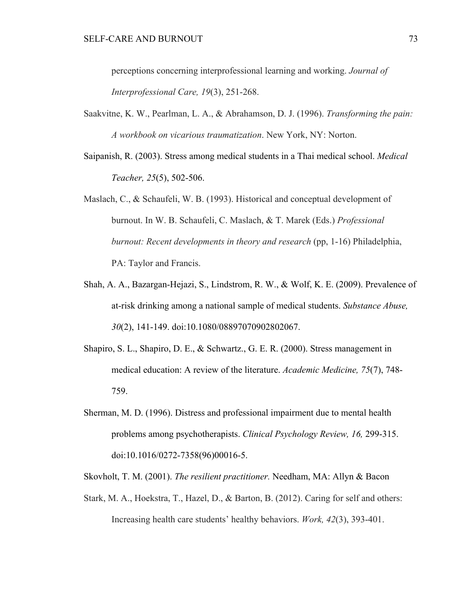perceptions concerning interprofessional learning and working. *Journal of Interprofessional Care, 19*(3), 251-268.

- Saakvitne, K. W., Pearlman, L. A., & Abrahamson, D. J. (1996). *Transforming the pain: A workbook on vicarious traumatization*. New York, NY: Norton.
- Saipanish, R. (2003). Stress among medical students in a Thai medical school. *Medical Teacher, 25*(5), 502-506.
- Maslach, C., & Schaufeli, W. B. (1993). Historical and conceptual development of burnout. In W. B. Schaufeli, C. Maslach, & T. Marek (Eds.) *Professional burnout: Recent developments in theory and research* (pp, 1-16) Philadelphia, PA: Taylor and Francis.
- Shah, A. A., Bazargan-Hejazi, S., Lindstrom, R. W., & Wolf, K. E. (2009). Prevalence of at-risk drinking among a national sample of medical students. *Substance Abuse, 30*(2), 141-149. doi:10.1080/08897070902802067.
- Shapiro, S. L., Shapiro, D. E., & Schwartz., G. E. R. (2000). Stress management in medical education: A review of the literature. *Academic Medicine, 75*(7), 748- 759.
- Sherman, M. D. (1996). Distress and professional impairment due to mental health problems among psychotherapists. *Clinical Psychology Review, 16,* 299-315. doi:10.1016/0272-7358(96)00016-5.

Skovholt, T. M. (2001). *The resilient practitioner.* Needham, MA: Allyn & Bacon

Stark, M. A., Hoekstra, T., Hazel, D., & Barton, B. (2012). Caring for self and others: Increasing health care students' healthy behaviors. *Work, 42*(3), 393-401.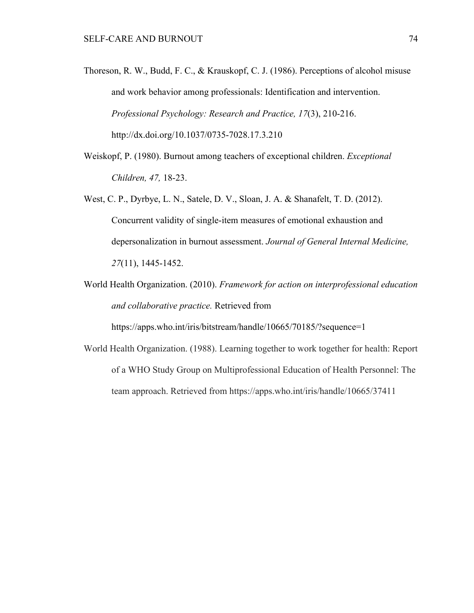- Thoreson, R. W., Budd, F. C., & Krauskopf, C. J. (1986). Perceptions of alcohol misuse and work behavior among professionals: Identification and intervention. *Professional Psychology: Research and Practice, 17*(3), 210-216. http://dx.doi.org/10.1037/0735-7028.17.3.210
- Weiskopf, P. (1980). Burnout among teachers of exceptional children. *Exceptional Children, 47,* 18-23.
- West, C. P., Dyrbye, L. N., Satele, D. V., Sloan, J. A. & Shanafelt, T. D. (2012). Concurrent validity of single-item measures of emotional exhaustion and depersonalization in burnout assessment. *Journal of General Internal Medicine, 27*(11), 1445-1452.
- World Health Organization. (2010). *Framework for action on interprofessional education and collaborative practice.* Retrieved from

https://apps.who.int/iris/bitstream/handle/10665/70185/?sequence=1

World Health Organization. (1988). Learning together to work together for health: Report of a WHO Study Group on Multiprofessional Education of Health Personnel: The team approach. Retrieved from https://apps.who.int/iris/handle/10665/37411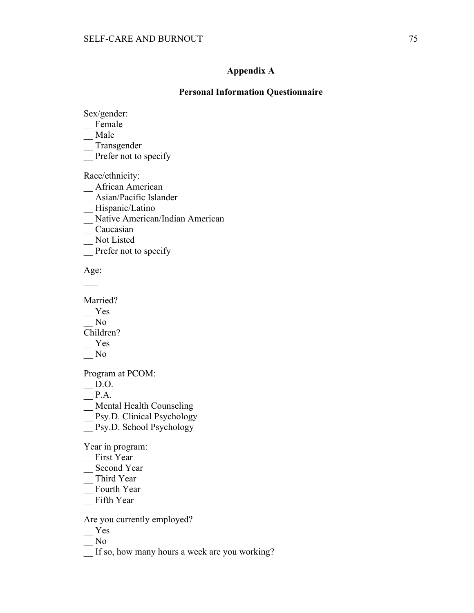# **Appendix A**

#### **Personal Information Questionnaire**

Sex/gender:

- $\overline{\phantom{a}}$ Female
- \_\_ Male
- \_\_ Transgender
- Prefer not to specify

Race/ethnicity:

- \_\_ African American
- \_\_ Asian/Pacific Islander
- \_\_ Hispanic/Latino
- \_\_ Native American/Indian American
- \_\_ Caucasian
- \_\_ Not Listed
- Prefer not to specify

Age:  $\overline{\phantom{a}}$ 

Married?

- \_\_ Yes
- $\sqrt{\phantom{a}}$  No
- Children?
- $-$  Yes
- $\overline{\phantom{0}}^{No}$

Program at PCOM:

 $\overline{\phantom{0}}$  D.O.

 $\overline{\phantom{0}}$  P.A.

\_\_ Mental Health Counseling

- Psy.D. Clinical Psychology
- \_\_ Psy.D. School Psychology

Year in program:

- \_\_ First Year
- $\overline{\phantom{a}}$  Second Year
- \_\_ Third Year
- \_\_ Fourth Year
- \_\_ Fifth Year

# Are you currently employed?

- \_\_ Yes
- $\overline{\phantom{0}}$  No
- \_\_ If so, how many hours a week are you working?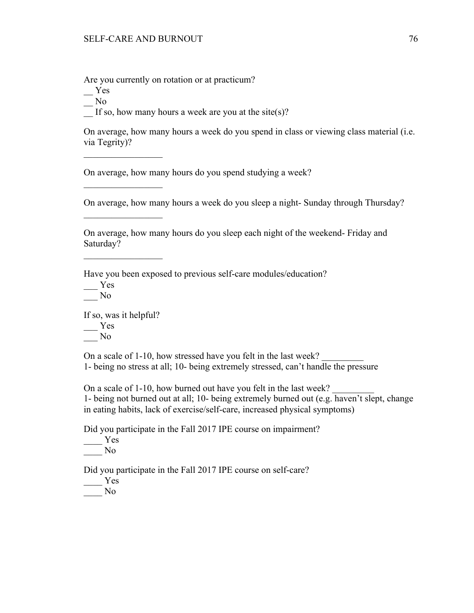Are you currently on rotation or at practicum?

\_\_ Yes

 $\overline{\phantom{0}}$  No

If so, how many hours a week are you at the site(s)?

On average, how many hours a week do you spend in class or viewing class material (i.e. via Tegrity)?

On average, how many hours do you spend studying a week?

On average, how many hours a week do you sleep a night- Sunday through Thursday?

On average, how many hours do you sleep each night of the weekend- Friday and Saturday?

Have you been exposed to previous self-care modules/education?

\_\_\_ Yes

 $\frac{N_0}{N_0}$ 

If so, was it helpful? \_\_\_ Yes  $\overline{\phantom{0}}$  No

 $\frac{1}{2}$  ,  $\frac{1}{2}$  ,  $\frac{1}{2}$  ,  $\frac{1}{2}$  ,  $\frac{1}{2}$  ,  $\frac{1}{2}$  ,  $\frac{1}{2}$  ,  $\frac{1}{2}$  ,  $\frac{1}{2}$ 

 $\mathcal{L}_\text{max}$ 

 $\frac{1}{2}$  ,  $\frac{1}{2}$  ,  $\frac{1}{2}$  ,  $\frac{1}{2}$  ,  $\frac{1}{2}$  ,  $\frac{1}{2}$  ,  $\frac{1}{2}$  ,  $\frac{1}{2}$  ,  $\frac{1}{2}$ 

 $\mathcal{L}_\text{max}$ 

On a scale of 1-10, how stressed have you felt in the last week? 1- being no stress at all; 10- being extremely stressed, can't handle the pressure

On a scale of 1-10, how burned out have you felt in the last week? 1- being not burned out at all; 10- being extremely burned out (e.g. haven't slept, change in eating habits, lack of exercise/self-care, increased physical symptoms)

Did you participate in the Fall 2017 IPE course on impairment?

\_\_\_\_ Yes  $\_\_$  No

Did you participate in the Fall 2017 IPE course on self-care?

\_\_\_\_ Yes

\_\_\_\_ No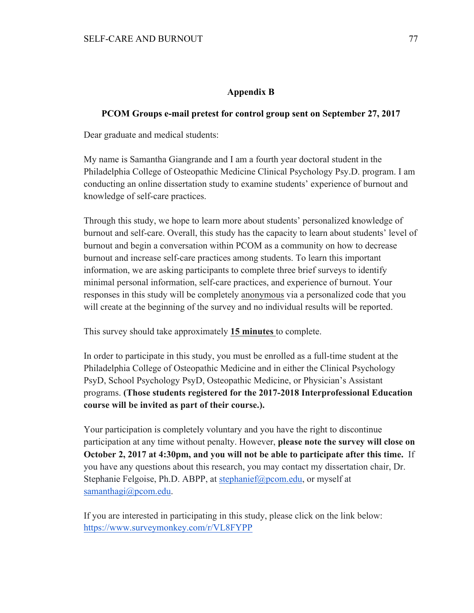# **Appendix B**

# **PCOM Groups e-mail pretest for control group sent on September 27, 2017**

Dear graduate and medical students:

My name is Samantha Giangrande and I am a fourth year doctoral student in the Philadelphia College of Osteopathic Medicine Clinical Psychology Psy.D. program. I am conducting an online dissertation study to examine students' experience of burnout and knowledge of self-care practices.

Through this study, we hope to learn more about students' personalized knowledge of burnout and self-care. Overall, this study has the capacity to learn about students' level of burnout and begin a conversation within PCOM as a community on how to decrease burnout and increase self-care practices among students. To learn this important information, we are asking participants to complete three brief surveys to identify minimal personal information, self-care practices, and experience of burnout. Your responses in this study will be completely anonymous via a personalized code that you will create at the beginning of the survey and no individual results will be reported.

This survey should take approximately **15 minutes** to complete.

In order to participate in this study, you must be enrolled as a full-time student at the Philadelphia College of Osteopathic Medicine and in either the Clinical Psychology PsyD, School Psychology PsyD, Osteopathic Medicine, or Physician's Assistant programs. **(Those students registered for the 2017-2018 Interprofessional Education course will be invited as part of their course.).** 

Your participation is completely voluntary and you have the right to discontinue participation at any time without penalty. However, **please note the survey will close on October 2, 2017 at 4:30pm, and you will not be able to participate after this time.** If you have any questions about this research, you may contact my dissertation chair, Dr. Stephanie Felgoise, Ph.D. ABPP, at stephanief@pcom.edu, or myself at samanthagi@pcom.edu.

If you are interested in participating in this study, please click on the link below: https://www.surveymonkey.com/r/VL8FYPP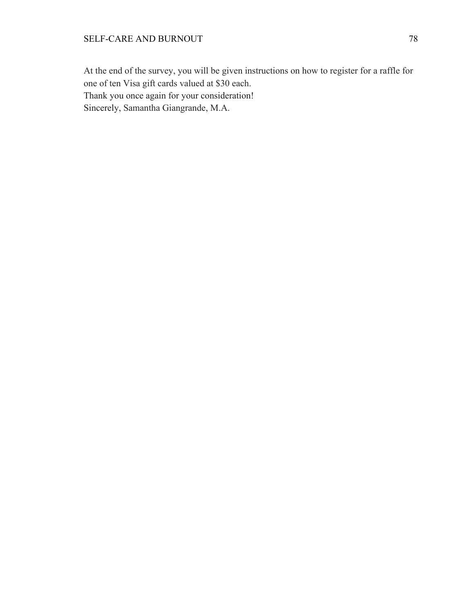At the end of the survey, you will be given instructions on how to register for a raffle for one of ten Visa gift cards valued at \$30 each. Thank you once again for your consideration! Sincerely, Samantha Giangrande, M.A.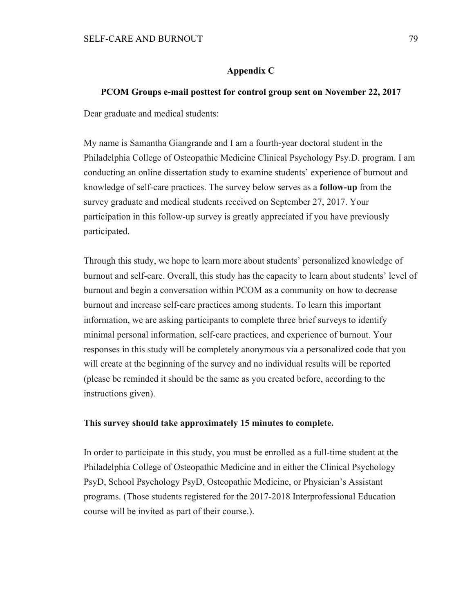#### **Appendix C**

#### **PCOM Groups e-mail posttest for control group sent on November 22, 2017**

Dear graduate and medical students:

My name is Samantha Giangrande and I am a fourth-year doctoral student in the Philadelphia College of Osteopathic Medicine Clinical Psychology Psy.D. program. I am conducting an online dissertation study to examine students' experience of burnout and knowledge of self-care practices. The survey below serves as a **follow-up** from the survey graduate and medical students received on September 27, 2017. Your participation in this follow-up survey is greatly appreciated if you have previously participated.

Through this study, we hope to learn more about students' personalized knowledge of burnout and self-care. Overall, this study has the capacity to learn about students' level of burnout and begin a conversation within PCOM as a community on how to decrease burnout and increase self-care practices among students. To learn this important information, we are asking participants to complete three brief surveys to identify minimal personal information, self-care practices, and experience of burnout. Your responses in this study will be completely anonymous via a personalized code that you will create at the beginning of the survey and no individual results will be reported (please be reminded it should be the same as you created before, according to the instructions given).

# **This survey should take approximately 15 minutes to complete.**

In order to participate in this study, you must be enrolled as a full-time student at the Philadelphia College of Osteopathic Medicine and in either the Clinical Psychology PsyD, School Psychology PsyD, Osteopathic Medicine, or Physician's Assistant programs. (Those students registered for the 2017-2018 Interprofessional Education course will be invited as part of their course.).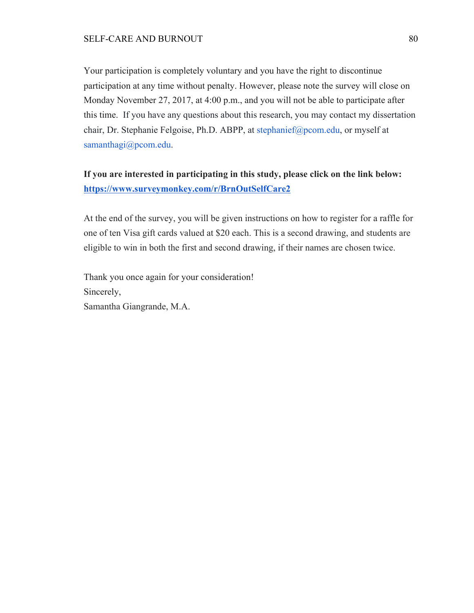Your participation is completely voluntary and you have the right to discontinue participation at any time without penalty. However, please note the survey will close on Monday November 27, 2017, at 4:00 p.m., and you will not be able to participate after this time. If you have any questions about this research, you may contact my dissertation chair, Dr. Stephanie Felgoise, Ph.D. ABPP, at stephanief@pcom.edu, or myself at samanthagi@pcom.edu.

# **If you are interested in participating in this study, please click on the link below: https://www.surveymonkey.com/r/BrnOutSelfCare2**

At the end of the survey, you will be given instructions on how to register for a raffle for one of ten Visa gift cards valued at \$20 each. This is a second drawing, and students are eligible to win in both the first and second drawing, if their names are chosen twice.

Thank you once again for your consideration! Sincerely, Samantha Giangrande, M.A.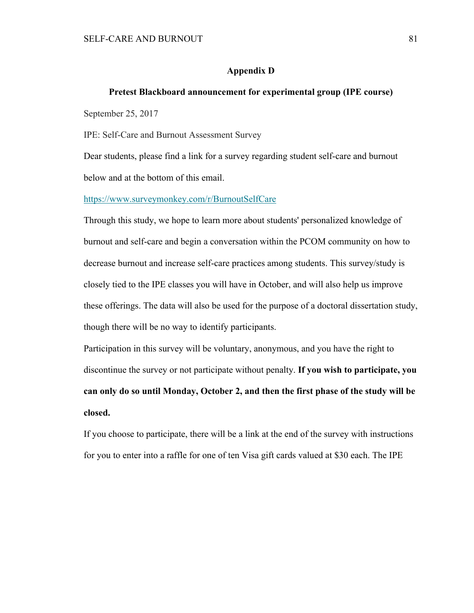#### **Appendix D**

# **Pretest Blackboard announcement for experimental group (IPE course)**

September 25, 2017

IPE: Self-Care and Burnout Assessment Survey

Dear students, please find a link for a survey regarding student self-care and burnout below and at the bottom of this email.

https://www.surveymonkey.com/r/BurnoutSelfCare

Through this study, we hope to learn more about students' personalized knowledge of burnout and self-care and begin a conversation within the PCOM community on how to decrease burnout and increase self-care practices among students. This survey/study is closely tied to the IPE classes you will have in October, and will also help us improve these offerings. The data will also be used for the purpose of a doctoral dissertation study, though there will be no way to identify participants.

Participation in this survey will be voluntary, anonymous, and you have the right to discontinue the survey or not participate without penalty. **If you wish to participate, you can only do so until Monday, October 2, and then the first phase of the study will be closed.**

If you choose to participate, there will be a link at the end of the survey with instructions for you to enter into a raffle for one of ten Visa gift cards valued at \$30 each. The IPE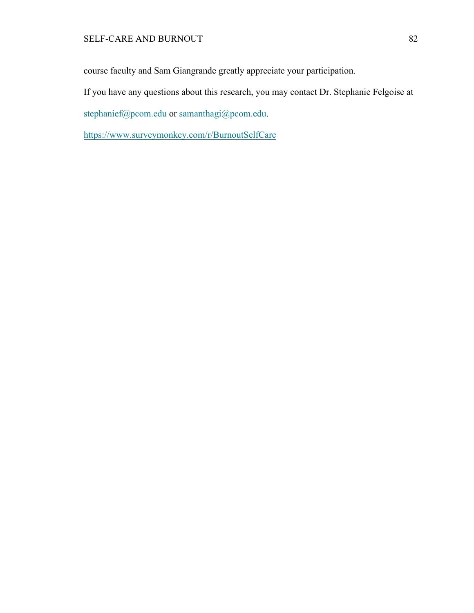course faculty and Sam Giangrande greatly appreciate your participation.

If you have any questions about this research, you may contact Dr. Stephanie Felgoise at

stephanief@pcom.edu or samanthagi@pcom.edu.

https://www.surveymonkey.com/r/BurnoutSelfCare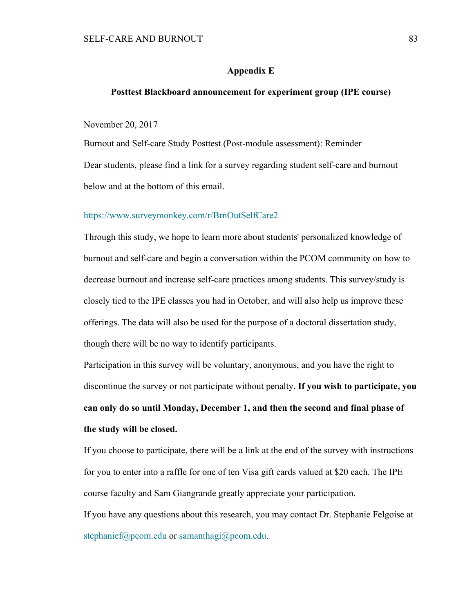#### **Appendix E**

#### **Posttest Blackboard announcement for experiment group (IPE course)**

November 20, 2017

Burnout and Self-care Study Posttest (Post-module assessment): Reminder Dear students, please find a link for a survey regarding student self-care and burnout below and at the bottom of this email.

#### https://www.surveymonkey.com/r/BrnOutSelfCare2

Through this study, we hope to learn more about students' personalized knowledge of burnout and self-care and begin a conversation within the PCOM community on how to decrease burnout and increase self-care practices among students. This survey/study is closely tied to the IPE classes you had in October, and will also help us improve these offerings. The data will also be used for the purpose of a doctoral dissertation study, though there will be no way to identify participants.

Participation in this survey will be voluntary, anonymous, and you have the right to discontinue the survey or not participate without penalty. **If you wish to participate, you can only do so until Monday, December 1, and then the second and final phase of the study will be closed.**

If you choose to participate, there will be a link at the end of the survey with instructions for you to enter into a raffle for one of ten Visa gift cards valued at \$20 each. The IPE course faculty and Sam Giangrande greatly appreciate your participation. If you have any questions about this research, you may contact Dr. Stephanie Felgoise at

stephanief@pcom.edu or samanthagi@pcom.edu.